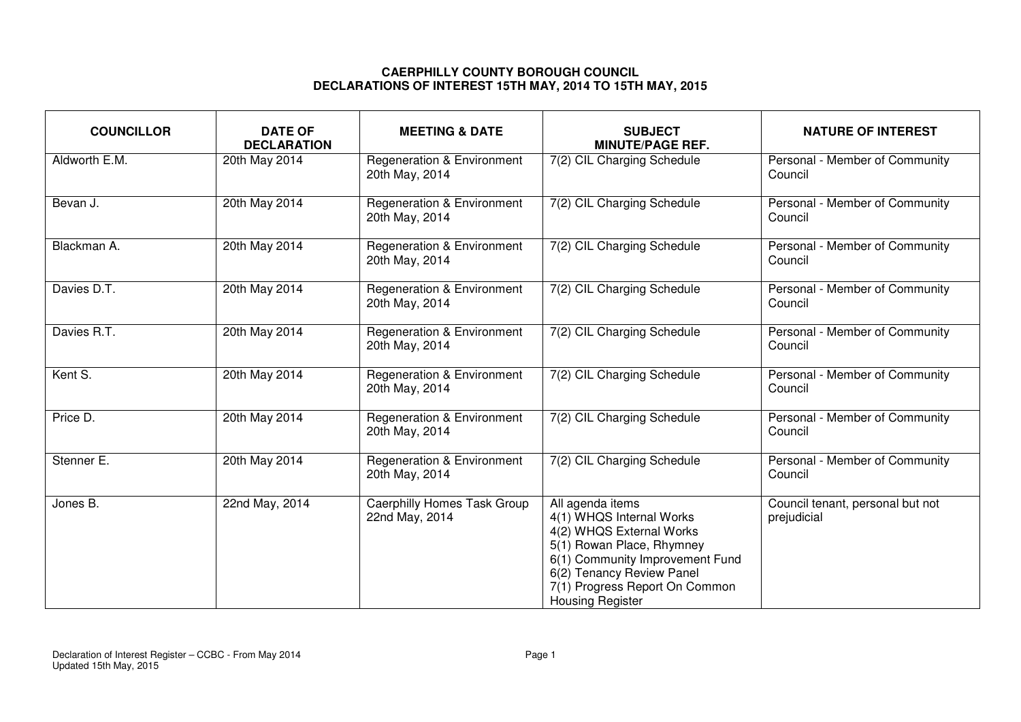## **CAERPHILLY COUNTY BOROUGH COUNCIL DECLARATIONS OF INTEREST 15TH MAY, 2014 TO 15TH MAY, 2015**

| <b>COUNCILLOR</b> | <b>DATE OF</b><br><b>DECLARATION</b> | <b>MEETING &amp; DATE</b>                               | <b>SUBJECT</b><br><b>MINUTE/PAGE REF.</b>                                                                                                                                                                                          | <b>NATURE OF INTEREST</b>                       |
|-------------------|--------------------------------------|---------------------------------------------------------|------------------------------------------------------------------------------------------------------------------------------------------------------------------------------------------------------------------------------------|-------------------------------------------------|
| Aldworth E.M.     | 20th May 2014                        | Regeneration & Environment<br>20th May, 2014            | 7(2) CIL Charging Schedule                                                                                                                                                                                                         | Personal - Member of Community<br>Council       |
| Bevan J.          | 20th May 2014                        | <b>Regeneration &amp; Environment</b><br>20th May, 2014 | 7(2) CIL Charging Schedule                                                                                                                                                                                                         | Personal - Member of Community<br>Council       |
| Blackman A.       | 20th May 2014                        | Regeneration & Environment<br>20th May, 2014            | 7(2) CIL Charging Schedule                                                                                                                                                                                                         | Personal - Member of Community<br>Council       |
| Davies D.T.       | 20th May 2014                        | <b>Regeneration &amp; Environment</b><br>20th May, 2014 | 7(2) CIL Charging Schedule                                                                                                                                                                                                         | Personal - Member of Community<br>Council       |
| Davies R.T.       | 20th May 2014                        | <b>Regeneration &amp; Environment</b><br>20th May, 2014 | 7(2) CIL Charging Schedule                                                                                                                                                                                                         | Personal - Member of Community<br>Council       |
| Kent S.           | 20th May 2014                        | <b>Regeneration &amp; Environment</b><br>20th May, 2014 | 7(2) CIL Charging Schedule                                                                                                                                                                                                         | Personal - Member of Community<br>Council       |
| Price D.          | 20th May 2014                        | Regeneration & Environment<br>20th May, 2014            | 7(2) CIL Charging Schedule                                                                                                                                                                                                         | Personal - Member of Community<br>Council       |
| Stenner E.        | 20th May 2014                        | <b>Regeneration &amp; Environment</b><br>20th May, 2014 | 7(2) CIL Charging Schedule                                                                                                                                                                                                         | Personal - Member of Community<br>Council       |
| Jones B.          | 22nd May, 2014                       | <b>Caerphilly Homes Task Group</b><br>22nd May, 2014    | All agenda items<br>4(1) WHQS Internal Works<br>4(2) WHQS External Works<br>5(1) Rowan Place, Rhymney<br>6(1) Community Improvement Fund<br>6(2) Tenancy Review Panel<br>7(1) Progress Report On Common<br><b>Housing Register</b> | Council tenant, personal but not<br>prejudicial |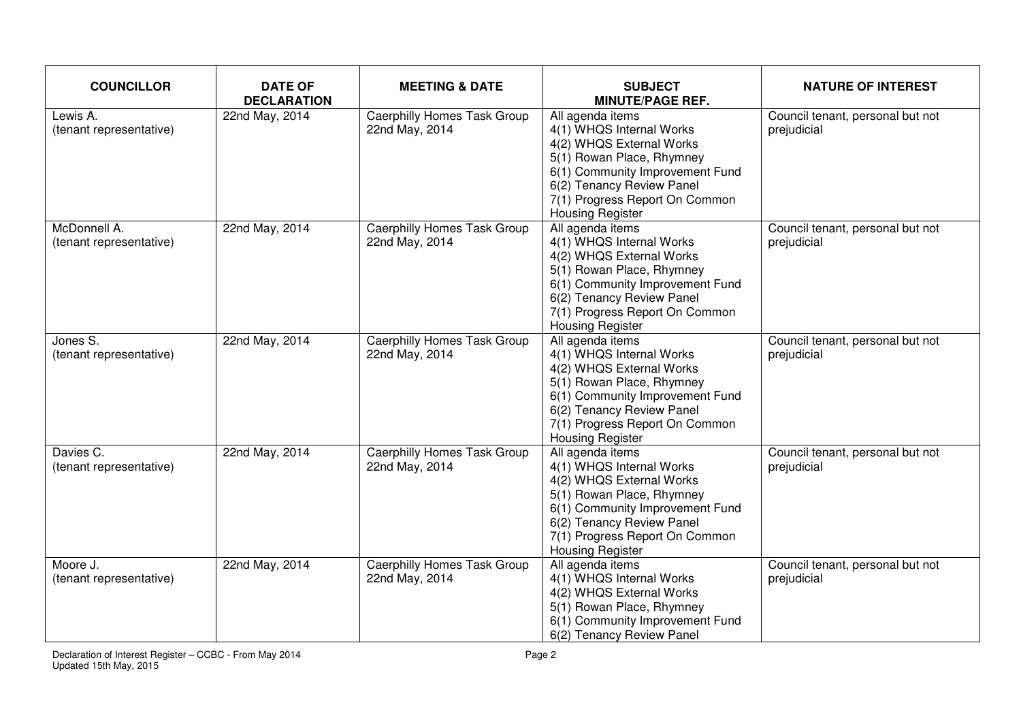| <b>COUNCILLOR</b>                       | <b>DATE OF</b><br><b>DECLARATION</b> | <b>MEETING &amp; DATE</b>                            | <b>SUBJECT</b><br><b>MINUTE/PAGE REF.</b>                                                                                                                                                                                          | <b>NATURE OF INTEREST</b>                       |
|-----------------------------------------|--------------------------------------|------------------------------------------------------|------------------------------------------------------------------------------------------------------------------------------------------------------------------------------------------------------------------------------------|-------------------------------------------------|
| Lewis A.<br>(tenant representative)     | 22nd May, 2014                       | Caerphilly Homes Task Group<br>22nd May, 2014        | All agenda items<br>4(1) WHQS Internal Works<br>4(2) WHQS External Works<br>5(1) Rowan Place, Rhymney<br>6(1) Community Improvement Fund<br>6(2) Tenancy Review Panel<br>7(1) Progress Report On Common<br><b>Housing Register</b> | Council tenant, personal but not<br>prejudicial |
| McDonnell A.<br>(tenant representative) | 22nd May, 2014                       | <b>Caerphilly Homes Task Group</b><br>22nd May, 2014 | All agenda items<br>4(1) WHQS Internal Works<br>4(2) WHQS External Works<br>5(1) Rowan Place, Rhymney<br>6(1) Community Improvement Fund<br>6(2) Tenancy Review Panel<br>7(1) Progress Report On Common<br>Housing Register        | Council tenant, personal but not<br>prejudicial |
| Jones S.<br>(tenant representative)     | 22nd May, 2014                       | <b>Caerphilly Homes Task Group</b><br>22nd May, 2014 | All agenda items<br>4(1) WHQS Internal Works<br>4(2) WHQS External Works<br>5(1) Rowan Place, Rhymney<br>6(1) Community Improvement Fund<br>6(2) Tenancy Review Panel<br>7(1) Progress Report On Common<br><b>Housing Register</b> | Council tenant, personal but not<br>prejudicial |
| Davies C.<br>(tenant representative)    | 22nd May, 2014                       | <b>Caerphilly Homes Task Group</b><br>22nd May, 2014 | All agenda items<br>4(1) WHQS Internal Works<br>4(2) WHQS External Works<br>5(1) Rowan Place, Rhymney<br>6(1) Community Improvement Fund<br>6(2) Tenancy Review Panel<br>7(1) Progress Report On Common<br><b>Housing Register</b> | Council tenant, personal but not<br>prejudicial |
| Moore J.<br>(tenant representative)     | 22nd May, 2014                       | <b>Caerphilly Homes Task Group</b><br>22nd May, 2014 | All agenda items<br>4(1) WHQS Internal Works<br>4(2) WHQS External Works<br>5(1) Rowan Place, Rhymney<br>6(1) Community Improvement Fund<br>6(2) Tenancy Review Panel                                                              | Council tenant, personal but not<br>prejudicial |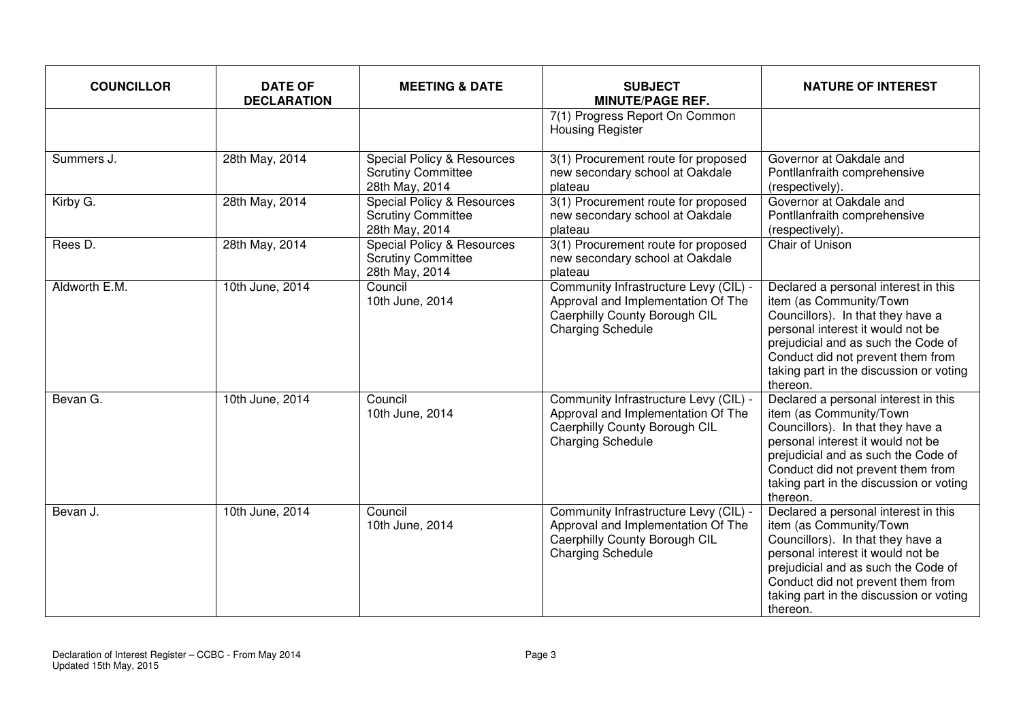| <b>COUNCILLOR</b> | <b>DATE OF</b><br><b>DECLARATION</b> | <b>MEETING &amp; DATE</b>                                                            | <b>SUBJECT</b><br><b>MINUTE/PAGE REF.</b>                                                                                                | <b>NATURE OF INTEREST</b>                                                                                                                                                                                                                                                    |
|-------------------|--------------------------------------|--------------------------------------------------------------------------------------|------------------------------------------------------------------------------------------------------------------------------------------|------------------------------------------------------------------------------------------------------------------------------------------------------------------------------------------------------------------------------------------------------------------------------|
|                   |                                      |                                                                                      | 7(1) Progress Report On Common<br><b>Housing Register</b>                                                                                |                                                                                                                                                                                                                                                                              |
| Summers J.        | 28th May, 2014                       | Special Policy & Resources<br><b>Scrutiny Committee</b><br>28th May, 2014            | 3(1) Procurement route for proposed<br>new secondary school at Oakdale<br>plateau                                                        | Governor at Oakdale and<br>Pontllanfraith comprehensive<br>(respectively).                                                                                                                                                                                                   |
| Kirby G.          | 28th May, 2014                       | <b>Special Policy &amp; Resources</b><br><b>Scrutiny Committee</b><br>28th May, 2014 | 3(1) Procurement route for proposed<br>new secondary school at Oakdale<br>plateau                                                        | Governor at Oakdale and<br>Pontllanfraith comprehensive<br>(respectively).                                                                                                                                                                                                   |
| Rees D.           | 28th May, 2014                       | Special Policy & Resources<br><b>Scrutiny Committee</b><br>28th May, 2014            | 3(1) Procurement route for proposed<br>new secondary school at Oakdale<br>plateau                                                        | Chair of Unison                                                                                                                                                                                                                                                              |
| Aldworth E.M.     | 10th June, 2014                      | Council<br>10th June, 2014                                                           | Community Infrastructure Levy (CIL) -<br>Approval and Implementation Of The<br>Caerphilly County Borough CIL<br><b>Charging Schedule</b> | Declared a personal interest in this<br>item (as Community/Town<br>Councillors). In that they have a<br>personal interest it would not be<br>prejudicial and as such the Code of<br>Conduct did not prevent them from<br>taking part in the discussion or voting<br>thereon. |
| Bevan G.          | 10th June, 2014                      | Council<br>10th June, 2014                                                           | Community Infrastructure Levy (CIL) -<br>Approval and Implementation Of The<br>Caerphilly County Borough CIL<br><b>Charging Schedule</b> | Declared a personal interest in this<br>item (as Community/Town<br>Councillors). In that they have a<br>personal interest it would not be<br>prejudicial and as such the Code of<br>Conduct did not prevent them from<br>taking part in the discussion or voting<br>thereon. |
| Bevan J.          | 10th June, 2014                      | Council<br>10th June, 2014                                                           | Community Infrastructure Levy (CIL) -<br>Approval and Implementation Of The<br>Caerphilly County Borough CIL<br><b>Charging Schedule</b> | Declared a personal interest in this<br>item (as Community/Town<br>Councillors). In that they have a<br>personal interest it would not be<br>prejudicial and as such the Code of<br>Conduct did not prevent them from<br>taking part in the discussion or voting<br>thereon. |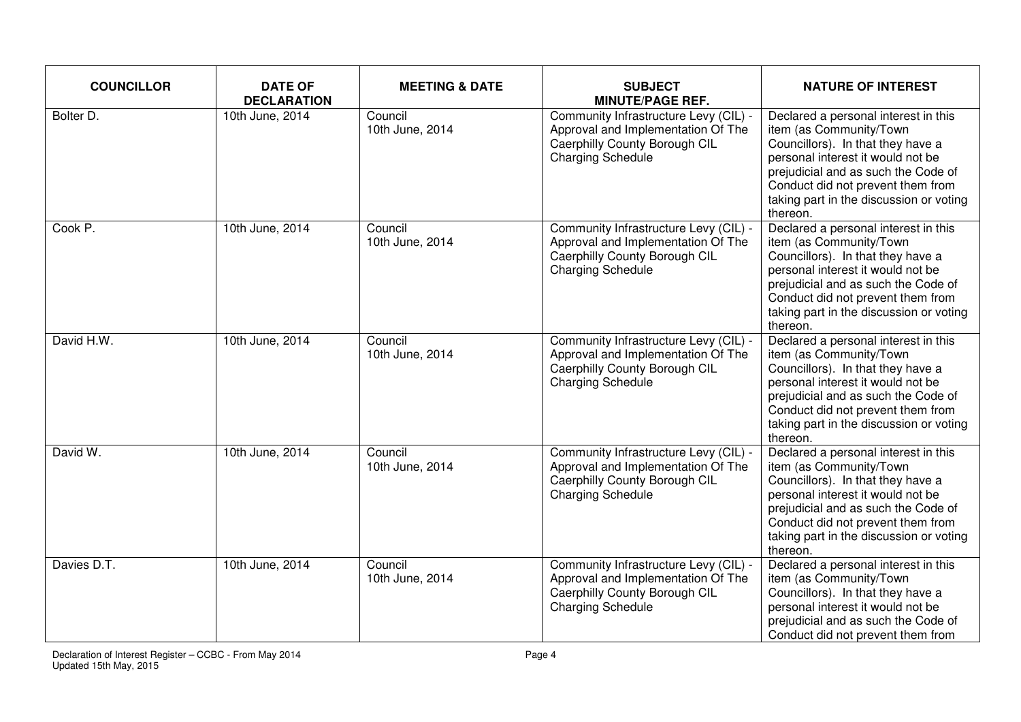| <b>COUNCILLOR</b> | <b>DATE OF</b><br><b>DECLARATION</b> | <b>MEETING &amp; DATE</b>  | <b>SUBJECT</b><br><b>MINUTE/PAGE REF.</b>                                                                                                | <b>NATURE OF INTEREST</b>                                                                                                                                                                                                                                                    |
|-------------------|--------------------------------------|----------------------------|------------------------------------------------------------------------------------------------------------------------------------------|------------------------------------------------------------------------------------------------------------------------------------------------------------------------------------------------------------------------------------------------------------------------------|
| Bolter D.         | 10th June, 2014                      | Council<br>10th June, 2014 | Community Infrastructure Levy (CIL) -<br>Approval and Implementation Of The<br>Caerphilly County Borough CIL<br><b>Charging Schedule</b> | Declared a personal interest in this<br>item (as Community/Town<br>Councillors). In that they have a<br>personal interest it would not be<br>prejudicial and as such the Code of<br>Conduct did not prevent them from<br>taking part in the discussion or voting<br>thereon. |
| Cook P.           | 10th June, 2014                      | Council<br>10th June, 2014 | Community Infrastructure Levy (CIL) -<br>Approval and Implementation Of The<br>Caerphilly County Borough CIL<br><b>Charging Schedule</b> | Declared a personal interest in this<br>item (as Community/Town<br>Councillors). In that they have a<br>personal interest it would not be<br>prejudicial and as such the Code of<br>Conduct did not prevent them from<br>taking part in the discussion or voting<br>thereon. |
| David H.W.        | 10th June, 2014                      | Council<br>10th June, 2014 | Community Infrastructure Levy (CIL) -<br>Approval and Implementation Of The<br>Caerphilly County Borough CIL<br><b>Charging Schedule</b> | Declared a personal interest in this<br>item (as Community/Town<br>Councillors). In that they have a<br>personal interest it would not be<br>prejudicial and as such the Code of<br>Conduct did not prevent them from<br>taking part in the discussion or voting<br>thereon. |
| David W.          | 10th June, 2014                      | Council<br>10th June, 2014 | Community Infrastructure Levy (CIL) -<br>Approval and Implementation Of The<br>Caerphilly County Borough CIL<br><b>Charging Schedule</b> | Declared a personal interest in this<br>item (as Community/Town<br>Councillors). In that they have a<br>personal interest it would not be<br>prejudicial and as such the Code of<br>Conduct did not prevent them from<br>taking part in the discussion or voting<br>thereon. |
| Davies D.T.       | 10th June, 2014                      | Council<br>10th June, 2014 | Community Infrastructure Levy (CIL) -<br>Approval and Implementation Of The<br>Caerphilly County Borough CIL<br><b>Charging Schedule</b> | Declared a personal interest in this<br>item (as Community/Town<br>Councillors). In that they have a<br>personal interest it would not be<br>prejudicial and as such the Code of<br>Conduct did not prevent them from                                                        |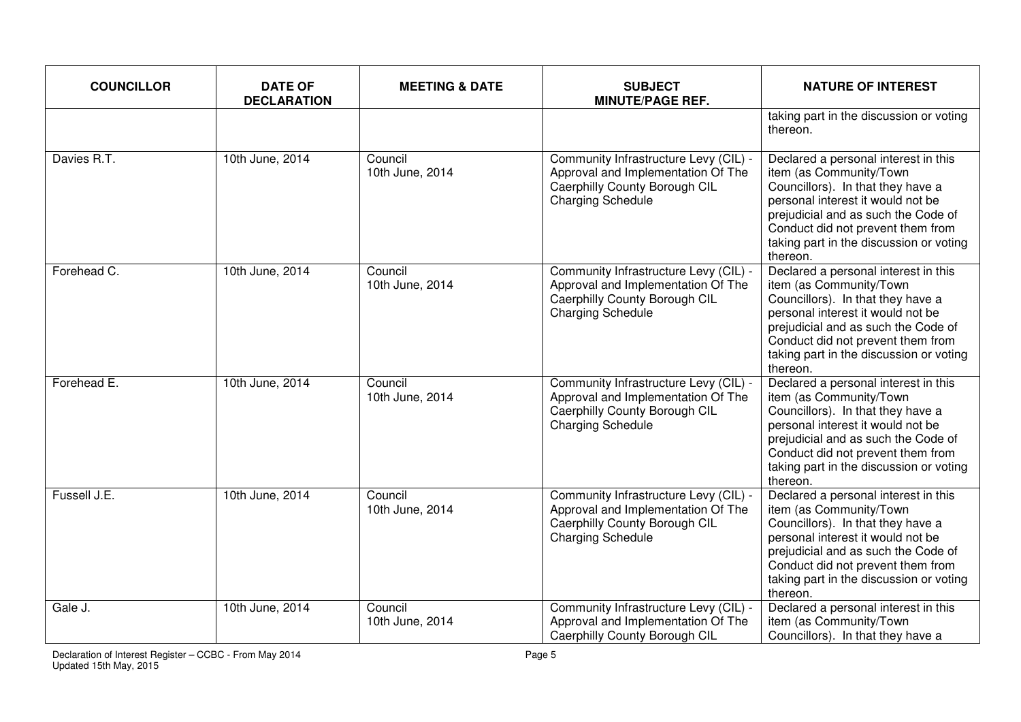| <b>COUNCILLOR</b> | <b>DATE OF</b><br><b>DECLARATION</b> | <b>MEETING &amp; DATE</b>  | <b>SUBJECT</b><br><b>MINUTE/PAGE REF.</b>                                                                                                | <b>NATURE OF INTEREST</b>                                                                                                                                                                                                                                                    |
|-------------------|--------------------------------------|----------------------------|------------------------------------------------------------------------------------------------------------------------------------------|------------------------------------------------------------------------------------------------------------------------------------------------------------------------------------------------------------------------------------------------------------------------------|
|                   |                                      |                            |                                                                                                                                          | taking part in the discussion or voting<br>thereon.                                                                                                                                                                                                                          |
| Davies R.T.       | 10th June, 2014                      | Council<br>10th June, 2014 | Community Infrastructure Levy (CIL) -<br>Approval and Implementation Of The<br>Caerphilly County Borough CIL<br>Charging Schedule        | Declared a personal interest in this<br>item (as Community/Town<br>Councillors). In that they have a<br>personal interest it would not be<br>prejudicial and as such the Code of<br>Conduct did not prevent them from<br>taking part in the discussion or voting<br>thereon. |
| Forehead C.       | 10th June, 2014                      | Council<br>10th June, 2014 | Community Infrastructure Levy (CIL) -<br>Approval and Implementation Of The<br>Caerphilly County Borough CIL<br><b>Charging Schedule</b> | Declared a personal interest in this<br>item (as Community/Town<br>Councillors). In that they have a<br>personal interest it would not be<br>prejudicial and as such the Code of<br>Conduct did not prevent them from<br>taking part in the discussion or voting<br>thereon. |
| Forehead E.       | 10th June, 2014                      | Council<br>10th June, 2014 | Community Infrastructure Levy (CIL) -<br>Approval and Implementation Of The<br>Caerphilly County Borough CIL<br><b>Charging Schedule</b> | Declared a personal interest in this<br>item (as Community/Town<br>Councillors). In that they have a<br>personal interest it would not be<br>prejudicial and as such the Code of<br>Conduct did not prevent them from<br>taking part in the discussion or voting<br>thereon. |
| Fussell J.E.      | 10th June, 2014                      | Council<br>10th June, 2014 | Community Infrastructure Levy (CIL) -<br>Approval and Implementation Of The<br>Caerphilly County Borough CIL<br><b>Charging Schedule</b> | Declared a personal interest in this<br>item (as Community/Town<br>Councillors). In that they have a<br>personal interest it would not be<br>prejudicial and as such the Code of<br>Conduct did not prevent them from<br>taking part in the discussion or voting<br>thereon. |
| Gale J.           | 10th June, 2014                      | Council<br>10th June, 2014 | Community Infrastructure Levy (CIL) -<br>Approval and Implementation Of The<br>Caerphilly County Borough CIL                             | Declared a personal interest in this<br>item (as Community/Town<br>Councillors). In that they have a                                                                                                                                                                         |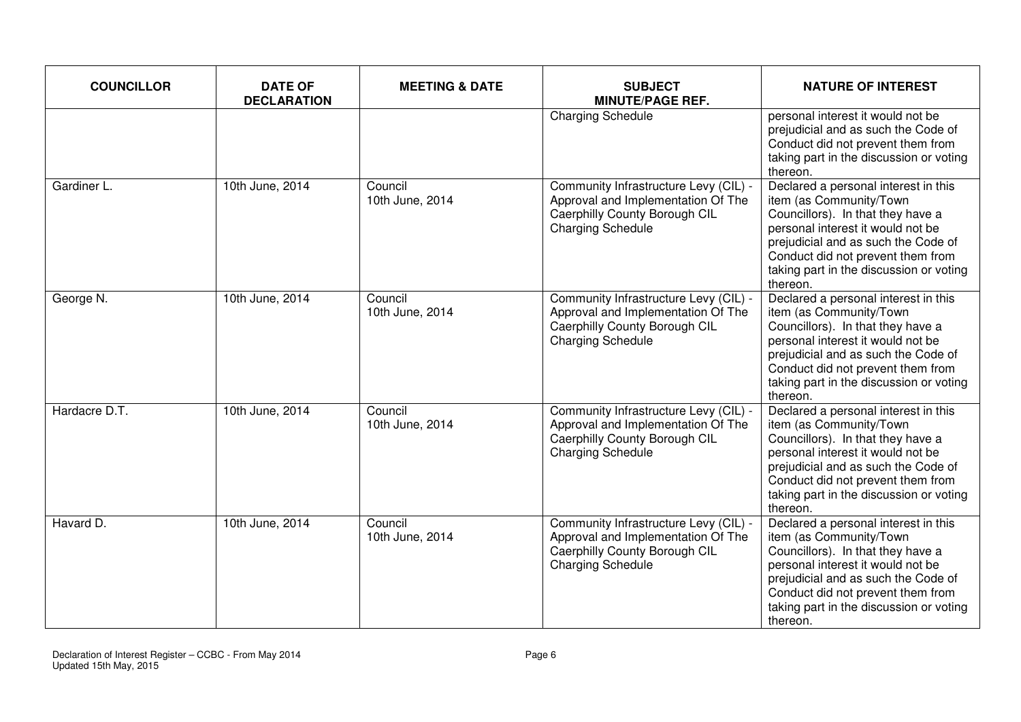| <b>COUNCILLOR</b> | <b>DATE OF</b><br><b>DECLARATION</b> | <b>MEETING &amp; DATE</b>  | <b>SUBJECT</b><br><b>MINUTE/PAGE REF.</b>                                                                                                | <b>NATURE OF INTEREST</b>                                                                                                                                                                                                                                                    |
|-------------------|--------------------------------------|----------------------------|------------------------------------------------------------------------------------------------------------------------------------------|------------------------------------------------------------------------------------------------------------------------------------------------------------------------------------------------------------------------------------------------------------------------------|
|                   |                                      |                            | <b>Charging Schedule</b>                                                                                                                 | personal interest it would not be<br>prejudicial and as such the Code of<br>Conduct did not prevent them from<br>taking part in the discussion or voting<br>thereon.                                                                                                         |
| Gardiner L.       | 10th June, 2014                      | Council<br>10th June, 2014 | Community Infrastructure Levy (CIL) -<br>Approval and Implementation Of The<br>Caerphilly County Borough CIL<br><b>Charging Schedule</b> | Declared a personal interest in this<br>item (as Community/Town<br>Councillors). In that they have a<br>personal interest it would not be<br>prejudicial and as such the Code of<br>Conduct did not prevent them from<br>taking part in the discussion or voting<br>thereon. |
| George N.         | 10th June, 2014                      | Council<br>10th June, 2014 | Community Infrastructure Levy (CIL) -<br>Approval and Implementation Of The<br>Caerphilly County Borough CIL<br><b>Charging Schedule</b> | Declared a personal interest in this<br>item (as Community/Town<br>Councillors). In that they have a<br>personal interest it would not be<br>prejudicial and as such the Code of<br>Conduct did not prevent them from<br>taking part in the discussion or voting<br>thereon. |
| Hardacre D.T.     | 10th June, 2014                      | Council<br>10th June, 2014 | Community Infrastructure Levy (CIL) -<br>Approval and Implementation Of The<br>Caerphilly County Borough CIL<br><b>Charging Schedule</b> | Declared a personal interest in this<br>item (as Community/Town<br>Councillors). In that they have a<br>personal interest it would not be<br>prejudicial and as such the Code of<br>Conduct did not prevent them from<br>taking part in the discussion or voting<br>thereon. |
| Havard D.         | 10th June, 2014                      | Council<br>10th June, 2014 | Community Infrastructure Levy (CIL) -<br>Approval and Implementation Of The<br>Caerphilly County Borough CIL<br><b>Charging Schedule</b> | Declared a personal interest in this<br>item (as Community/Town<br>Councillors). In that they have a<br>personal interest it would not be<br>prejudicial and as such the Code of<br>Conduct did not prevent them from<br>taking part in the discussion or voting<br>thereon. |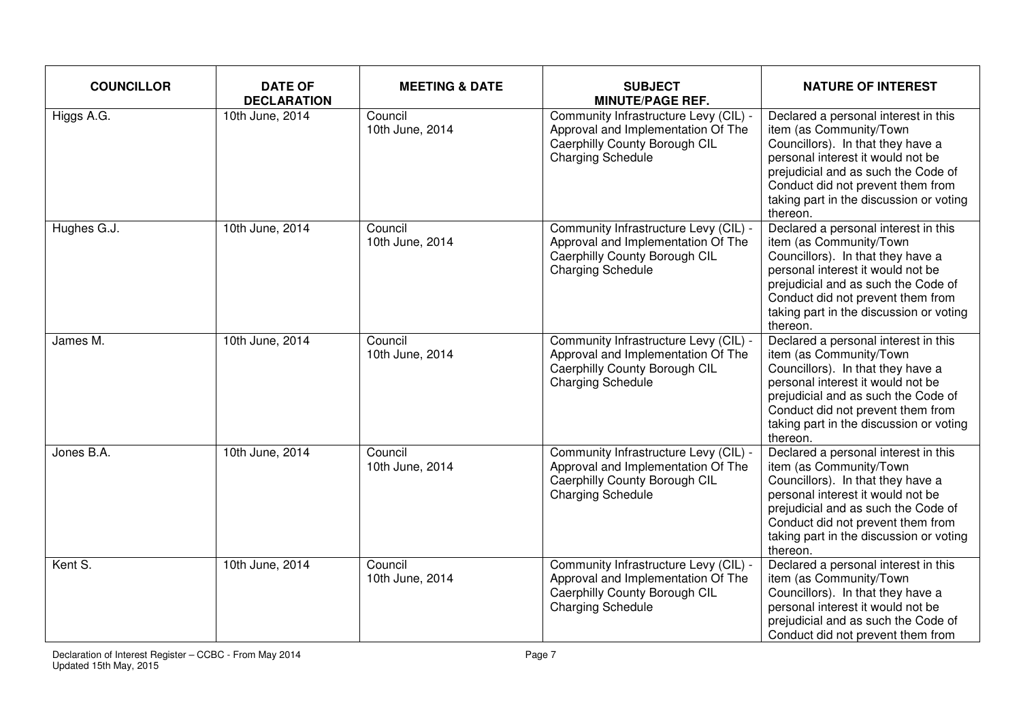| <b>COUNCILLOR</b> | <b>DATE OF</b><br><b>DECLARATION</b> | <b>MEETING &amp; DATE</b>  | <b>SUBJECT</b><br><b>MINUTE/PAGE REF.</b>                                                                                                | <b>NATURE OF INTEREST</b>                                                                                                                                                                                                                                                    |
|-------------------|--------------------------------------|----------------------------|------------------------------------------------------------------------------------------------------------------------------------------|------------------------------------------------------------------------------------------------------------------------------------------------------------------------------------------------------------------------------------------------------------------------------|
| Higgs A.G.        | 10th June, 2014                      | Council<br>10th June, 2014 | Community Infrastructure Levy (CIL) -<br>Approval and Implementation Of The<br>Caerphilly County Borough CIL<br><b>Charging Schedule</b> | Declared a personal interest in this<br>item (as Community/Town<br>Councillors). In that they have a<br>personal interest it would not be<br>prejudicial and as such the Code of<br>Conduct did not prevent them from<br>taking part in the discussion or voting<br>thereon. |
| Hughes G.J.       | 10th June, 2014                      | Council<br>10th June, 2014 | Community Infrastructure Levy (CIL) -<br>Approval and Implementation Of The<br>Caerphilly County Borough CIL<br><b>Charging Schedule</b> | Declared a personal interest in this<br>item (as Community/Town<br>Councillors). In that they have a<br>personal interest it would not be<br>prejudicial and as such the Code of<br>Conduct did not prevent them from<br>taking part in the discussion or voting<br>thereon. |
| James M.          | 10th June, 2014                      | Council<br>10th June, 2014 | Community Infrastructure Levy (CIL) -<br>Approval and Implementation Of The<br>Caerphilly County Borough CIL<br><b>Charging Schedule</b> | Declared a personal interest in this<br>item (as Community/Town<br>Councillors). In that they have a<br>personal interest it would not be<br>prejudicial and as such the Code of<br>Conduct did not prevent them from<br>taking part in the discussion or voting<br>thereon. |
| Jones B.A.        | 10th June, 2014                      | Council<br>10th June, 2014 | Community Infrastructure Levy (CIL) -<br>Approval and Implementation Of The<br>Caerphilly County Borough CIL<br><b>Charging Schedule</b> | Declared a personal interest in this<br>item (as Community/Town<br>Councillors). In that they have a<br>personal interest it would not be<br>prejudicial and as such the Code of<br>Conduct did not prevent them from<br>taking part in the discussion or voting<br>thereon. |
| Kent S.           | 10th June, 2014                      | Council<br>10th June, 2014 | Community Infrastructure Levy (CIL) -<br>Approval and Implementation Of The<br>Caerphilly County Borough CIL<br><b>Charging Schedule</b> | Declared a personal interest in this<br>item (as Community/Town<br>Councillors). In that they have a<br>personal interest it would not be<br>prejudicial and as such the Code of<br>Conduct did not prevent them from                                                        |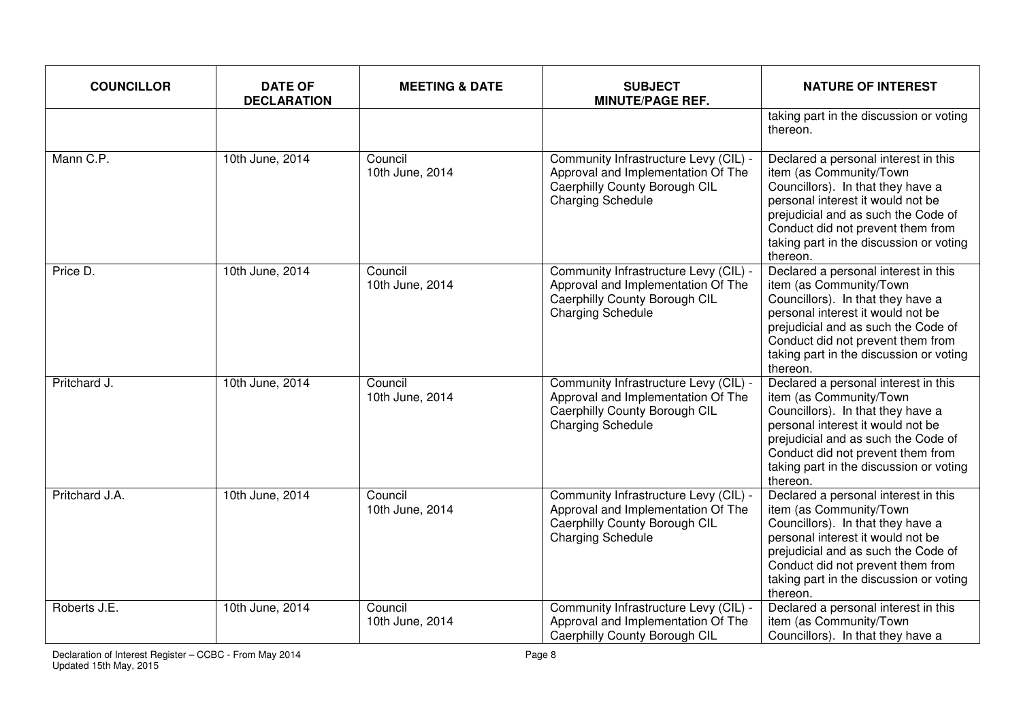| <b>COUNCILLOR</b> | <b>DATE OF</b><br><b>DECLARATION</b> | <b>MEETING &amp; DATE</b>  | <b>SUBJECT</b><br><b>MINUTE/PAGE REF.</b>                                                                                                | <b>NATURE OF INTEREST</b>                                                                                                                                                                                                                                                    |
|-------------------|--------------------------------------|----------------------------|------------------------------------------------------------------------------------------------------------------------------------------|------------------------------------------------------------------------------------------------------------------------------------------------------------------------------------------------------------------------------------------------------------------------------|
|                   |                                      |                            |                                                                                                                                          | taking part in the discussion or voting<br>thereon.                                                                                                                                                                                                                          |
| Mann C.P.         | 10th June, 2014                      | Council<br>10th June, 2014 | Community Infrastructure Levy (CIL) -<br>Approval and Implementation Of The<br>Caerphilly County Borough CIL<br>Charging Schedule        | Declared a personal interest in this<br>item (as Community/Town<br>Councillors). In that they have a<br>personal interest it would not be<br>prejudicial and as such the Code of<br>Conduct did not prevent them from<br>taking part in the discussion or voting<br>thereon. |
| Price D.          | 10th June, 2014                      | Council<br>10th June, 2014 | Community Infrastructure Levy (CIL) -<br>Approval and Implementation Of The<br>Caerphilly County Borough CIL<br><b>Charging Schedule</b> | Declared a personal interest in this<br>item (as Community/Town<br>Councillors). In that they have a<br>personal interest it would not be<br>prejudicial and as such the Code of<br>Conduct did not prevent them from<br>taking part in the discussion or voting<br>thereon. |
| Pritchard J.      | 10th June, 2014                      | Council<br>10th June, 2014 | Community Infrastructure Levy (CIL) -<br>Approval and Implementation Of The<br>Caerphilly County Borough CIL<br><b>Charging Schedule</b> | Declared a personal interest in this<br>item (as Community/Town<br>Councillors). In that they have a<br>personal interest it would not be<br>prejudicial and as such the Code of<br>Conduct did not prevent them from<br>taking part in the discussion or voting<br>thereon. |
| Pritchard J.A.    | 10th June, 2014                      | Council<br>10th June, 2014 | Community Infrastructure Levy (CIL) -<br>Approval and Implementation Of The<br>Caerphilly County Borough CIL<br><b>Charging Schedule</b> | Declared a personal interest in this<br>item (as Community/Town<br>Councillors). In that they have a<br>personal interest it would not be<br>prejudicial and as such the Code of<br>Conduct did not prevent them from<br>taking part in the discussion or voting<br>thereon. |
| Roberts J.E.      | 10th June, 2014                      | Council<br>10th June, 2014 | Community Infrastructure Levy (CIL) -<br>Approval and Implementation Of The<br>Caerphilly County Borough CIL                             | Declared a personal interest in this<br>item (as Community/Town<br>Councillors). In that they have a                                                                                                                                                                         |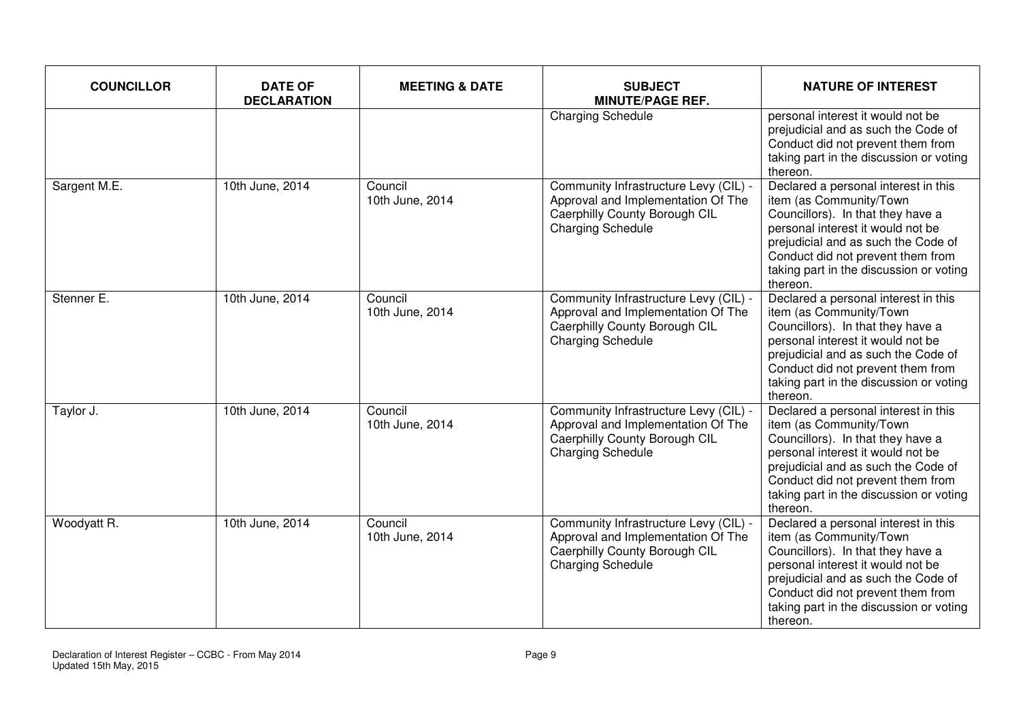| <b>COUNCILLOR</b> | <b>DATE OF</b><br><b>DECLARATION</b> | <b>MEETING &amp; DATE</b>  | <b>SUBJECT</b><br><b>MINUTE/PAGE REF.</b>                                                                                                | <b>NATURE OF INTEREST</b>                                                                                                                                                                                                                                                    |
|-------------------|--------------------------------------|----------------------------|------------------------------------------------------------------------------------------------------------------------------------------|------------------------------------------------------------------------------------------------------------------------------------------------------------------------------------------------------------------------------------------------------------------------------|
|                   |                                      |                            | <b>Charging Schedule</b>                                                                                                                 | personal interest it would not be<br>prejudicial and as such the Code of<br>Conduct did not prevent them from<br>taking part in the discussion or voting<br>thereon.                                                                                                         |
| Sargent M.E.      | 10th June, 2014                      | Council<br>10th June, 2014 | Community Infrastructure Levy (CIL) -<br>Approval and Implementation Of The<br>Caerphilly County Borough CIL<br><b>Charging Schedule</b> | Declared a personal interest in this<br>item (as Community/Town<br>Councillors). In that they have a<br>personal interest it would not be<br>prejudicial and as such the Code of<br>Conduct did not prevent them from<br>taking part in the discussion or voting<br>thereon. |
| Stenner E.        | 10th June, 2014                      | Council<br>10th June, 2014 | Community Infrastructure Levy (CIL) -<br>Approval and Implementation Of The<br>Caerphilly County Borough CIL<br><b>Charging Schedule</b> | Declared a personal interest in this<br>item (as Community/Town<br>Councillors). In that they have a<br>personal interest it would not be<br>prejudicial and as such the Code of<br>Conduct did not prevent them from<br>taking part in the discussion or voting<br>thereon. |
| Taylor J.         | 10th June, 2014                      | Council<br>10th June, 2014 | Community Infrastructure Levy (CIL) -<br>Approval and Implementation Of The<br>Caerphilly County Borough CIL<br><b>Charging Schedule</b> | Declared a personal interest in this<br>item (as Community/Town<br>Councillors). In that they have a<br>personal interest it would not be<br>prejudicial and as such the Code of<br>Conduct did not prevent them from<br>taking part in the discussion or voting<br>thereon. |
| Woodyatt R.       | 10th June, 2014                      | Council<br>10th June, 2014 | Community Infrastructure Levy (CIL) -<br>Approval and Implementation Of The<br>Caerphilly County Borough CIL<br><b>Charging Schedule</b> | Declared a personal interest in this<br>item (as Community/Town<br>Councillors). In that they have a<br>personal interest it would not be<br>prejudicial and as such the Code of<br>Conduct did not prevent them from<br>taking part in the discussion or voting<br>thereon. |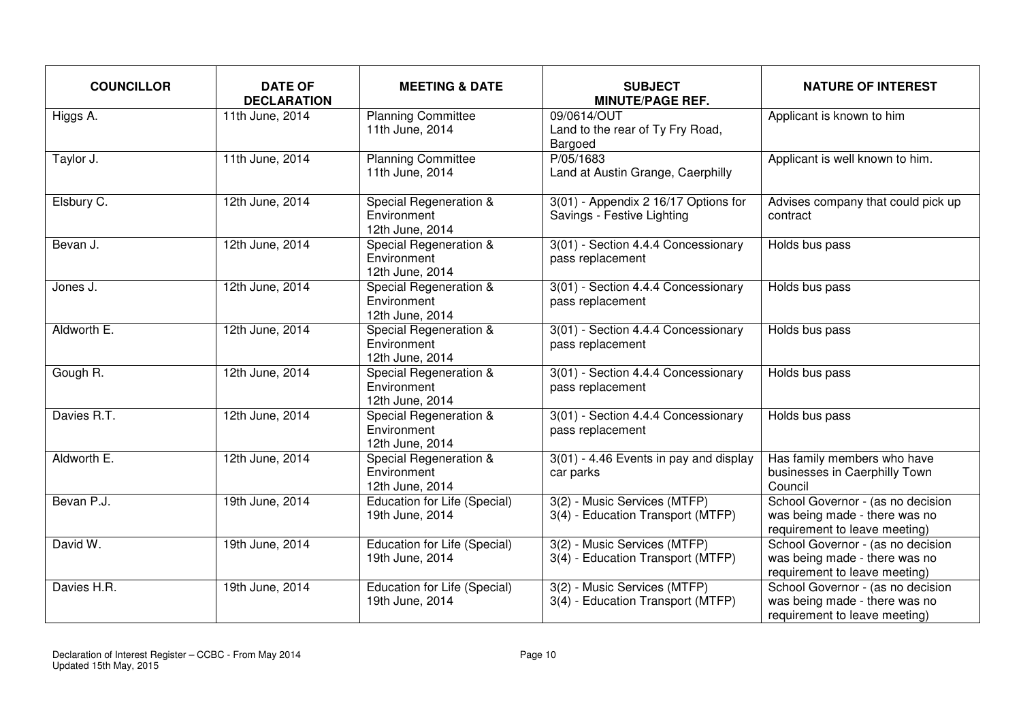| <b>COUNCILLOR</b> | <b>DATE OF</b><br><b>DECLARATION</b> | <b>MEETING &amp; DATE</b>                                | <b>SUBJECT</b><br><b>MINUTE/PAGE REF.</b>                            | <b>NATURE OF INTEREST</b>                                                                           |
|-------------------|--------------------------------------|----------------------------------------------------------|----------------------------------------------------------------------|-----------------------------------------------------------------------------------------------------|
| Higgs A.          | 11th June, 2014                      | <b>Planning Committee</b><br>11th June, 2014             | 09/0614/OUT<br>Land to the rear of Ty Fry Road,<br>Bargoed           | Applicant is known to him                                                                           |
| Taylor J.         | 11th June, 2014                      | <b>Planning Committee</b><br>11th June, 2014             | P/05/1683<br>Land at Austin Grange, Caerphilly                       | Applicant is well known to him.                                                                     |
| Elsbury C.        | 12th June, 2014                      | Special Regeneration &<br>Environment<br>12th June, 2014 | $3(01)$ - Appendix 2 16/17 Options for<br>Savings - Festive Lighting | Advises company that could pick up<br>contract                                                      |
| Bevan J.          | 12th June, 2014                      | Special Regeneration &<br>Environment<br>12th June, 2014 | 3(01) - Section 4.4.4 Concessionary<br>pass replacement              | Holds bus pass                                                                                      |
| Jones J.          | 12th June, 2014                      | Special Regeneration &<br>Environment<br>12th June, 2014 | 3(01) - Section 4.4.4 Concessionary<br>pass replacement              | Holds bus pass                                                                                      |
| Aldworth E.       | 12th June, 2014                      | Special Regeneration &<br>Environment<br>12th June, 2014 | 3(01) - Section 4.4.4 Concessionary<br>pass replacement              | Holds bus pass                                                                                      |
| Gough R.          | 12th June, 2014                      | Special Regeneration &<br>Environment<br>12th June, 2014 | 3(01) - Section 4.4.4 Concessionary<br>pass replacement              | Holds bus pass                                                                                      |
| Davies R.T.       | 12th June, 2014                      | Special Regeneration &<br>Environment<br>12th June, 2014 | 3(01) - Section 4.4.4 Concessionary<br>pass replacement              | Holds bus pass                                                                                      |
| Aldworth E.       | 12th June, 2014                      | Special Regeneration &<br>Environment<br>12th June, 2014 | 3(01) - 4.46 Events in pay and display<br>car parks                  | Has family members who have<br>businesses in Caerphilly Town<br>Council                             |
| Bevan P.J.        | 19th June, 2014                      | Education for Life (Special)<br>19th June, 2014          | 3(2) - Music Services (MTFP)<br>3(4) - Education Transport (MTFP)    | School Governor - (as no decision<br>was being made - there was no<br>requirement to leave meeting) |
| David W.          | 19th June, 2014                      | Education for Life (Special)<br>19th June, 2014          | 3(2) - Music Services (MTFP)<br>3(4) - Education Transport (MTFP)    | School Governor - (as no decision<br>was being made - there was no<br>requirement to leave meeting) |
| Davies H.R.       | 19th June, 2014                      | Education for Life (Special)<br>19th June, 2014          | 3(2) - Music Services (MTFP)<br>3(4) - Education Transport (MTFP)    | School Governor - (as no decision<br>was being made - there was no<br>requirement to leave meeting) |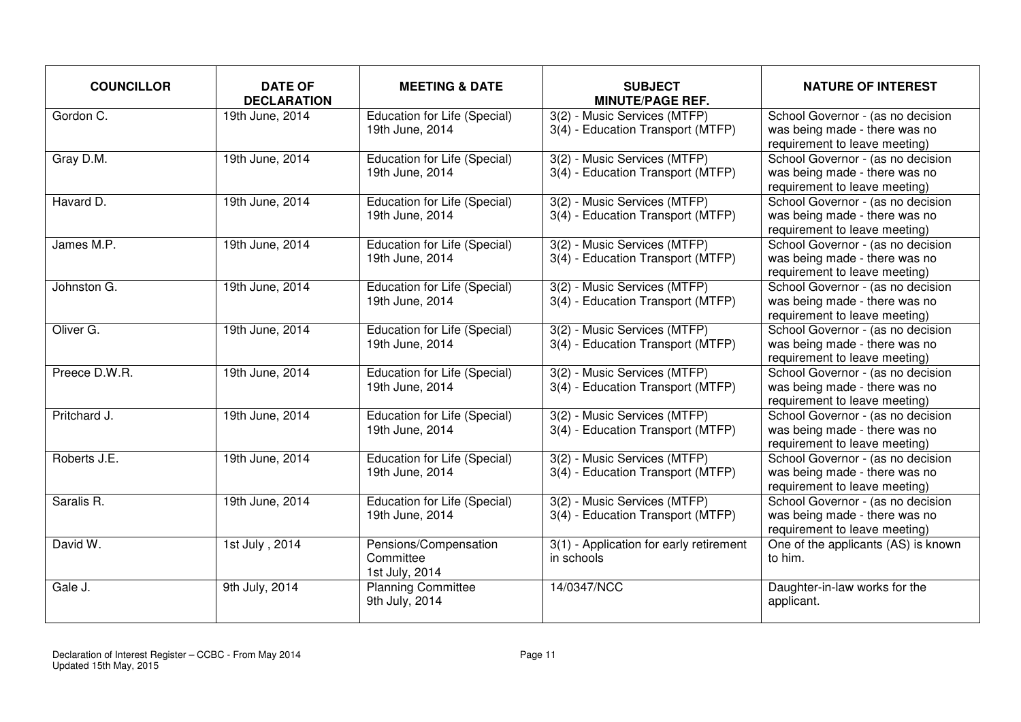| <b>COUNCILLOR</b> | <b>DATE OF</b><br><b>DECLARATION</b> | <b>MEETING &amp; DATE</b>                              | <b>SUBJECT</b><br><b>MINUTE/PAGE REF.</b>                         | <b>NATURE OF INTEREST</b>                                                                           |
|-------------------|--------------------------------------|--------------------------------------------------------|-------------------------------------------------------------------|-----------------------------------------------------------------------------------------------------|
| Gordon C.         | 19th June, 2014                      | <b>Education for Life (Special)</b><br>19th June, 2014 | 3(2) - Music Services (MTFP)<br>3(4) - Education Transport (MTFP) | School Governor - (as no decision<br>was being made - there was no<br>requirement to leave meeting) |
| Gray D.M.         | 19th June, 2014                      | Education for Life (Special)<br>19th June, 2014        | 3(2) - Music Services (MTFP)<br>3(4) - Education Transport (MTFP) | School Governor - (as no decision<br>was being made - there was no<br>requirement to leave meeting) |
| Havard D.         | 19th June, 2014                      | Education for Life (Special)<br>19th June, 2014        | 3(2) - Music Services (MTFP)<br>3(4) - Education Transport (MTFP) | School Governor - (as no decision<br>was being made - there was no<br>requirement to leave meeting) |
| James M.P.        | 19th June, 2014                      | Education for Life (Special)<br>19th June, 2014        | 3(2) - Music Services (MTFP)<br>3(4) - Education Transport (MTFP) | School Governor - (as no decision<br>was being made - there was no<br>requirement to leave meeting) |
| Johnston G.       | 19th June, 2014                      | Education for Life (Special)<br>19th June, 2014        | 3(2) - Music Services (MTFP)<br>3(4) - Education Transport (MTFP) | School Governor - (as no decision<br>was being made - there was no<br>requirement to leave meeting) |
| Oliver G.         | 19th June, 2014                      | Education for Life (Special)<br>19th June, 2014        | 3(2) - Music Services (MTFP)<br>3(4) - Education Transport (MTFP) | School Governor - (as no decision<br>was being made - there was no<br>requirement to leave meeting) |
| Preece D.W.R.     | 19th June, 2014                      | Education for Life (Special)<br>19th June, 2014        | 3(2) - Music Services (MTFP)<br>3(4) - Education Transport (MTFP) | School Governor - (as no decision<br>was being made - there was no<br>requirement to leave meeting) |
| Pritchard J.      | 19th June, 2014                      | Education for Life (Special)<br>19th June, 2014        | 3(2) - Music Services (MTFP)<br>3(4) - Education Transport (MTFP) | School Governor - (as no decision<br>was being made - there was no<br>requirement to leave meeting) |
| Roberts J.E.      | 19th June, 2014                      | Education for Life (Special)<br>19th June, 2014        | 3(2) - Music Services (MTFP)<br>3(4) - Education Transport (MTFP) | School Governor - (as no decision<br>was being made - there was no<br>requirement to leave meeting) |
| Saralis R.        | 19th June, 2014                      | Education for Life (Special)<br>19th June, 2014        | 3(2) - Music Services (MTFP)<br>3(4) - Education Transport (MTFP) | School Governor - (as no decision<br>was being made - there was no<br>requirement to leave meeting) |
| David W.          | 1st July, 2014                       | Pensions/Compensation<br>Committee<br>1st July, 2014   | 3(1) - Application for early retirement<br>in schools             | One of the applicants (AS) is known<br>to him.                                                      |
| Gale J.           | 9th July, 2014                       | <b>Planning Committee</b><br>9th July, 2014            | 14/0347/NCC                                                       | Daughter-in-law works for the<br>applicant.                                                         |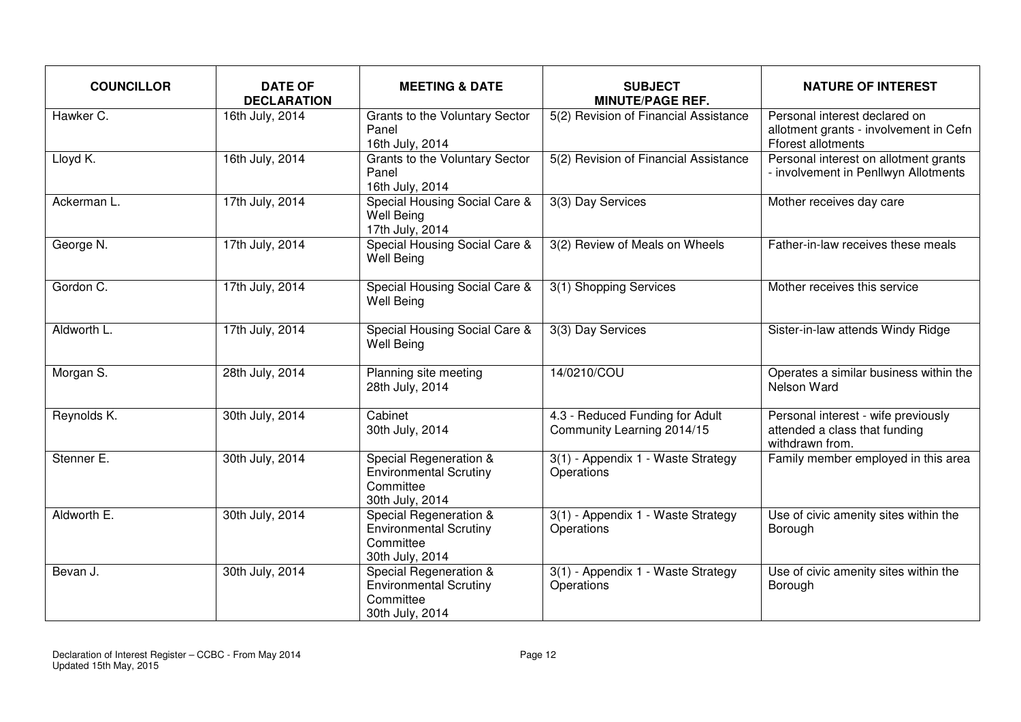| <b>COUNCILLOR</b> | <b>DATE OF</b><br><b>DECLARATION</b> | <b>MEETING &amp; DATE</b>                                                               | <b>SUBJECT</b><br><b>MINUTE/PAGE REF.</b>                     | <b>NATURE OF INTEREST</b>                                                                            |
|-------------------|--------------------------------------|-----------------------------------------------------------------------------------------|---------------------------------------------------------------|------------------------------------------------------------------------------------------------------|
| Hawker C.         | 16th July, 2014                      | Grants to the Voluntary Sector<br>Panel<br>16th July, 2014                              | 5(2) Revision of Financial Assistance                         | Personal interest declared on<br>allotment grants - involvement in Cefn<br><b>Fforest allotments</b> |
| Lloyd K.          | 16th July, 2014                      | Grants to the Voluntary Sector<br>Panel<br>16th July, 2014                              | 5(2) Revision of Financial Assistance                         | Personal interest on allotment grants<br>- involvement in Penllwyn Allotments                        |
| Ackerman L.       | 17th July, 2014                      | Special Housing Social Care &<br><b>Well Being</b><br>17th July, 2014                   | 3(3) Day Services                                             | Mother receives day care                                                                             |
| George N.         | 17th July, 2014                      | Special Housing Social Care &<br><b>Well Being</b>                                      | 3(2) Review of Meals on Wheels                                | Father-in-law receives these meals                                                                   |
| Gordon C.         | 17th July, 2014                      | Special Housing Social Care &<br><b>Well Being</b>                                      | 3(1) Shopping Services                                        | Mother receives this service                                                                         |
| Aldworth L.       | 17th July, 2014                      | Special Housing Social Care &<br><b>Well Being</b>                                      | 3(3) Day Services                                             | Sister-in-law attends Windy Ridge                                                                    |
| Morgan S.         | 28th July, 2014                      | Planning site meeting<br>28th July, 2014                                                | 14/0210/COU                                                   | Operates a similar business within the<br>Nelson Ward                                                |
| Reynolds K.       | 30th July, 2014                      | Cabinet<br>30th July, 2014                                                              | 4.3 - Reduced Funding for Adult<br>Community Learning 2014/15 | Personal interest - wife previously<br>attended a class that funding<br>withdrawn from.              |
| Stenner E.        | 30th July, 2014                      | Special Regeneration &<br><b>Environmental Scrutiny</b><br>Committee<br>30th July, 2014 | 3(1) - Appendix 1 - Waste Strategy<br>Operations              | Family member employed in this area                                                                  |
| Aldworth E.       | 30th July, 2014                      | Special Regeneration &<br><b>Environmental Scrutiny</b><br>Committee<br>30th July, 2014 | 3(1) - Appendix 1 - Waste Strategy<br>Operations              | Use of civic amenity sites within the<br>Borough                                                     |
| Bevan J.          | 30th July, 2014                      | Special Regeneration &<br><b>Environmental Scrutiny</b><br>Committee<br>30th July, 2014 | 3(1) - Appendix 1 - Waste Strategy<br>Operations              | Use of civic amenity sites within the<br>Borough                                                     |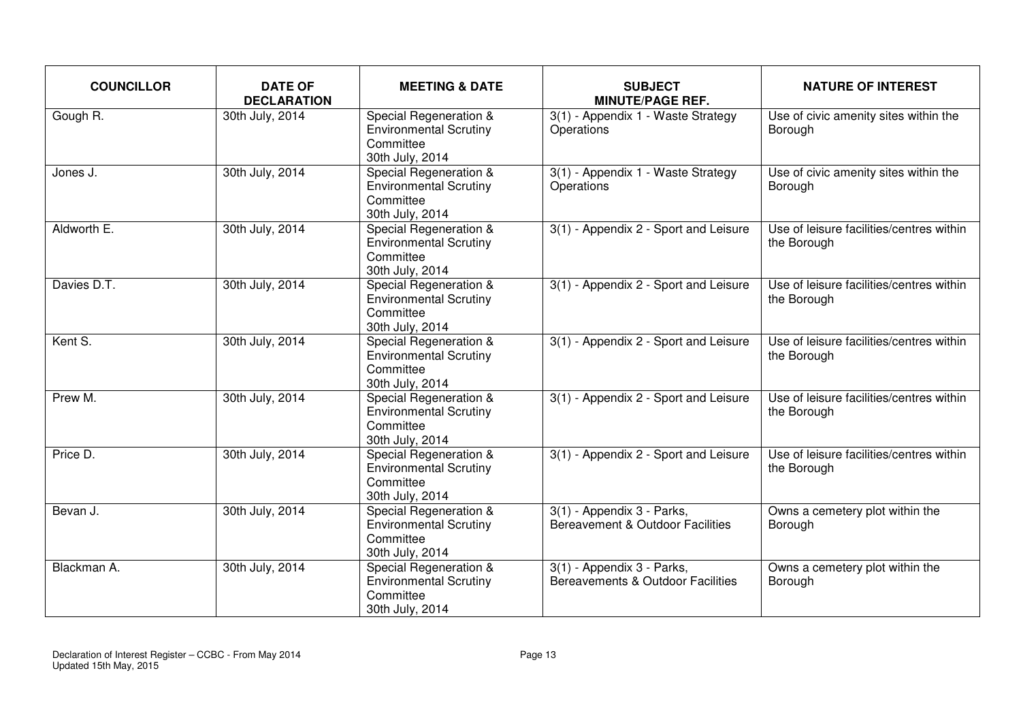| <b>COUNCILLOR</b> | <b>DATE OF</b><br><b>DECLARATION</b> | <b>MEETING &amp; DATE</b>                                                                          | <b>SUBJECT</b><br><b>MINUTE/PAGE REF.</b>                       | <b>NATURE OF INTEREST</b>                               |
|-------------------|--------------------------------------|----------------------------------------------------------------------------------------------------|-----------------------------------------------------------------|---------------------------------------------------------|
| Gough R.          | 30th July, 2014                      | Special Regeneration &<br><b>Environmental Scrutiny</b><br>Committee<br>30th July, 2014            | 3(1) - Appendix 1 - Waste Strategy<br>Operations                | Use of civic amenity sites within the<br>Borough        |
| Jones J.          | 30th July, 2014                      | <b>Special Regeneration &amp;</b><br><b>Environmental Scrutiny</b><br>Committee<br>30th July, 2014 | 3(1) - Appendix 1 - Waste Strategy<br>Operations                | Use of civic amenity sites within the<br>Borough        |
| Aldworth E.       | 30th July, 2014                      | Special Regeneration &<br><b>Environmental Scrutiny</b><br>Committee<br>30th July, 2014            | 3(1) - Appendix 2 - Sport and Leisure                           | Use of leisure facilities/centres within<br>the Borough |
| Davies D.T.       | 30th July, 2014                      | Special Regeneration &<br><b>Environmental Scrutiny</b><br>Committee<br>30th July, 2014            | 3(1) - Appendix 2 - Sport and Leisure                           | Use of leisure facilities/centres within<br>the Borough |
| Kent S.           | 30th July, 2014                      | <b>Special Regeneration &amp;</b><br><b>Environmental Scrutiny</b><br>Committee<br>30th July, 2014 | 3(1) - Appendix 2 - Sport and Leisure                           | Use of leisure facilities/centres within<br>the Borough |
| Prew M.           | 30th July, 2014                      | Special Regeneration &<br><b>Environmental Scrutiny</b><br>Committee<br>30th July, 2014            | 3(1) - Appendix 2 - Sport and Leisure                           | Use of leisure facilities/centres within<br>the Borough |
| Price D.          | 30th July, 2014                      | Special Regeneration &<br><b>Environmental Scrutiny</b><br>Committee<br>30th July, 2014            | 3(1) - Appendix 2 - Sport and Leisure                           | Use of leisure facilities/centres within<br>the Borough |
| Bevan J.          | 30th July, 2014                      | Special Regeneration &<br><b>Environmental Scrutiny</b><br>Committee<br>30th July, 2014            | 3(1) - Appendix 3 - Parks,<br>Bereavement & Outdoor Facilities  | Owns a cemetery plot within the<br>Borough              |
| Blackman A.       | 30th July, 2014                      | Special Regeneration &<br><b>Environmental Scrutiny</b><br>Committee<br>30th July, 2014            | 3(1) - Appendix 3 - Parks,<br>Bereavements & Outdoor Facilities | Owns a cemetery plot within the<br>Borough              |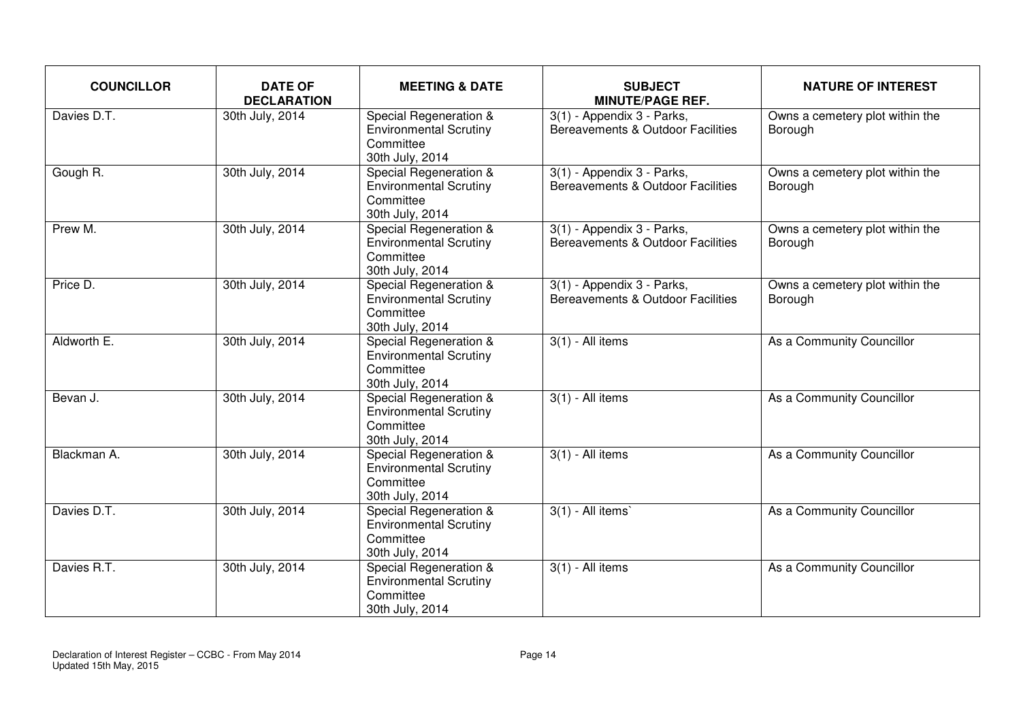| <b>COUNCILLOR</b> | <b>DATE OF</b><br><b>DECLARATION</b> | <b>MEETING &amp; DATE</b>                                                               | <b>SUBJECT</b><br><b>MINUTE/PAGE REF.</b>                       | <b>NATURE OF INTEREST</b>                  |
|-------------------|--------------------------------------|-----------------------------------------------------------------------------------------|-----------------------------------------------------------------|--------------------------------------------|
| Davies D.T.       | 30th July, 2014                      | Special Regeneration &<br><b>Environmental Scrutiny</b><br>Committee<br>30th July, 2014 | 3(1) - Appendix 3 - Parks,<br>Bereavements & Outdoor Facilities | Owns a cemetery plot within the<br>Borough |
| Gough R.          | 30th July, 2014                      | Special Regeneration &<br><b>Environmental Scrutiny</b><br>Committee<br>30th July, 2014 | 3(1) - Appendix 3 - Parks,<br>Bereavements & Outdoor Facilities | Owns a cemetery plot within the<br>Borough |
| Prew M.           | 30th July, 2014                      | Special Regeneration &<br><b>Environmental Scrutiny</b><br>Committee<br>30th July, 2014 | 3(1) - Appendix 3 - Parks,<br>Bereavements & Outdoor Facilities | Owns a cemetery plot within the<br>Borough |
| Price D.          | 30th July, 2014                      | Special Regeneration &<br><b>Environmental Scrutiny</b><br>Committee<br>30th July, 2014 | 3(1) - Appendix 3 - Parks,<br>Bereavements & Outdoor Facilities | Owns a cemetery plot within the<br>Borough |
| Aldworth E.       | 30th July, 2014                      | Special Regeneration &<br><b>Environmental Scrutiny</b><br>Committee<br>30th July, 2014 | $3(1)$ - All items                                              | As a Community Councillor                  |
| Bevan J.          | 30th July, 2014                      | Special Regeneration &<br><b>Environmental Scrutiny</b><br>Committee<br>30th July, 2014 | $3(1)$ - All items                                              | As a Community Councillor                  |
| Blackman A.       | 30th July, 2014                      | Special Regeneration &<br><b>Environmental Scrutiny</b><br>Committee<br>30th July, 2014 | $3(1)$ - All items                                              | As a Community Councillor                  |
| Davies D.T.       | 30th July, 2014                      | Special Regeneration &<br><b>Environmental Scrutiny</b><br>Committee<br>30th July, 2014 | $3(1)$ - All items                                              | As a Community Councillor                  |
| Davies R.T.       | 30th July, 2014                      | Special Regeneration &<br><b>Environmental Scrutiny</b><br>Committee<br>30th July, 2014 | $3(1)$ - All items                                              | As a Community Councillor                  |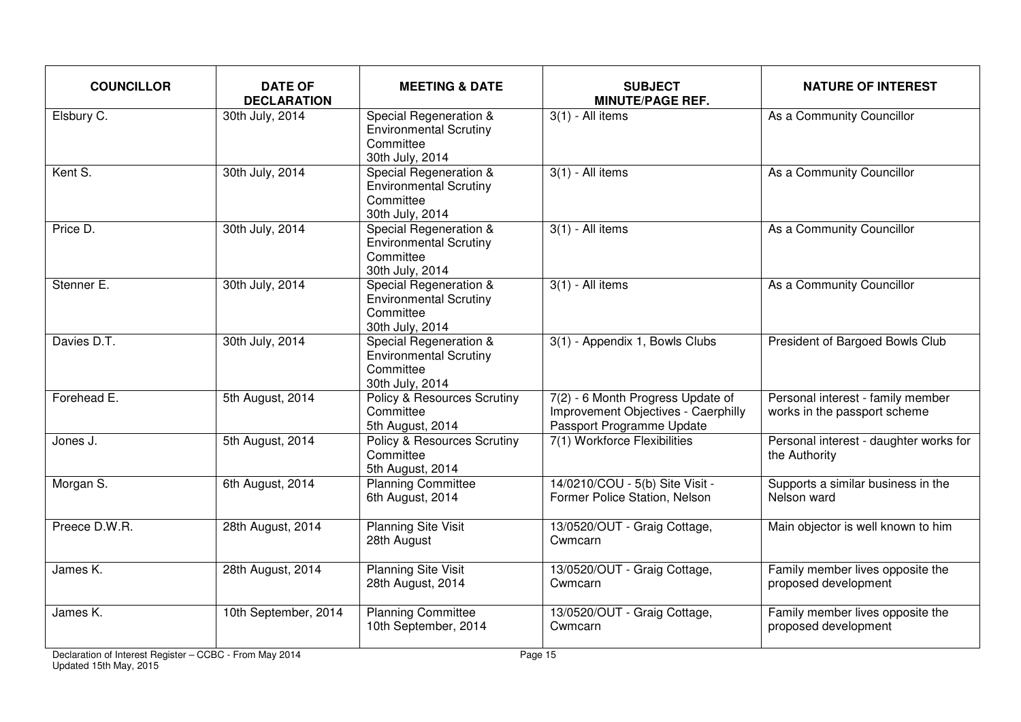| <b>COUNCILLOR</b> | <b>DATE OF</b><br><b>DECLARATION</b> | <b>MEETING &amp; DATE</b>                                                               | <b>SUBJECT</b><br><b>MINUTE/PAGE REF.</b>                                                             | <b>NATURE OF INTEREST</b>                                         |
|-------------------|--------------------------------------|-----------------------------------------------------------------------------------------|-------------------------------------------------------------------------------------------------------|-------------------------------------------------------------------|
| Elsbury C.        | 30th July, 2014                      | Special Regeneration &<br><b>Environmental Scrutiny</b><br>Committee<br>30th July, 2014 | $3(1)$ - All items                                                                                    | As a Community Councillor                                         |
| Kent S.           | 30th July, 2014                      | Special Regeneration &<br><b>Environmental Scrutiny</b><br>Committee<br>30th July, 2014 | $3(1)$ - All items                                                                                    | As a Community Councillor                                         |
| Price D.          | 30th July, 2014                      | Special Regeneration &<br><b>Environmental Scrutiny</b><br>Committee<br>30th July, 2014 | $3(1)$ - All items                                                                                    | As a Community Councillor                                         |
| Stenner E.        | 30th July, 2014                      | Special Regeneration &<br><b>Environmental Scrutiny</b><br>Committee<br>30th July, 2014 | $3(1)$ - All items                                                                                    | As a Community Councillor                                         |
| Davies D.T.       | 30th July, 2014                      | Special Regeneration &<br><b>Environmental Scrutiny</b><br>Committee<br>30th July, 2014 | 3(1) - Appendix 1, Bowls Clubs                                                                        | President of Bargoed Bowls Club                                   |
| Forehead E.       | 5th August, 2014                     | <b>Policy &amp; Resources Scrutiny</b><br>Committee<br>5th August, 2014                 | 7(2) - 6 Month Progress Update of<br>Improvement Objectives - Caerphilly<br>Passport Programme Update | Personal interest - family member<br>works in the passport scheme |
| Jones J.          | 5th August, 2014                     | <b>Policy &amp; Resources Scrutiny</b><br>Committee<br>5th August, 2014                 | 7(1) Workforce Flexibilities                                                                          | Personal interest - daughter works for<br>the Authority           |
| Morgan S.         | 6th August, 2014                     | <b>Planning Committee</b><br>6th August, 2014                                           | 14/0210/COU - 5(b) Site Visit -<br>Former Police Station, Nelson                                      | Supports a similar business in the<br>Nelson ward                 |
| Preece D.W.R.     | 28th August, 2014                    | <b>Planning Site Visit</b><br>28th August                                               | 13/0520/OUT - Graig Cottage,<br>Cwmcarn                                                               | Main objector is well known to him                                |
| James K.          | 28th August, 2014                    | <b>Planning Site Visit</b><br>28th August, 2014                                         | 13/0520/OUT - Graig Cottage,<br>Cwmcarn                                                               | Family member lives opposite the<br>proposed development          |
| James K.          | 10th September, 2014                 | <b>Planning Committee</b><br>10th September, 2014                                       | 13/0520/OUT - Graig Cottage,<br>Cwmcarn                                                               | Family member lives opposite the<br>proposed development          |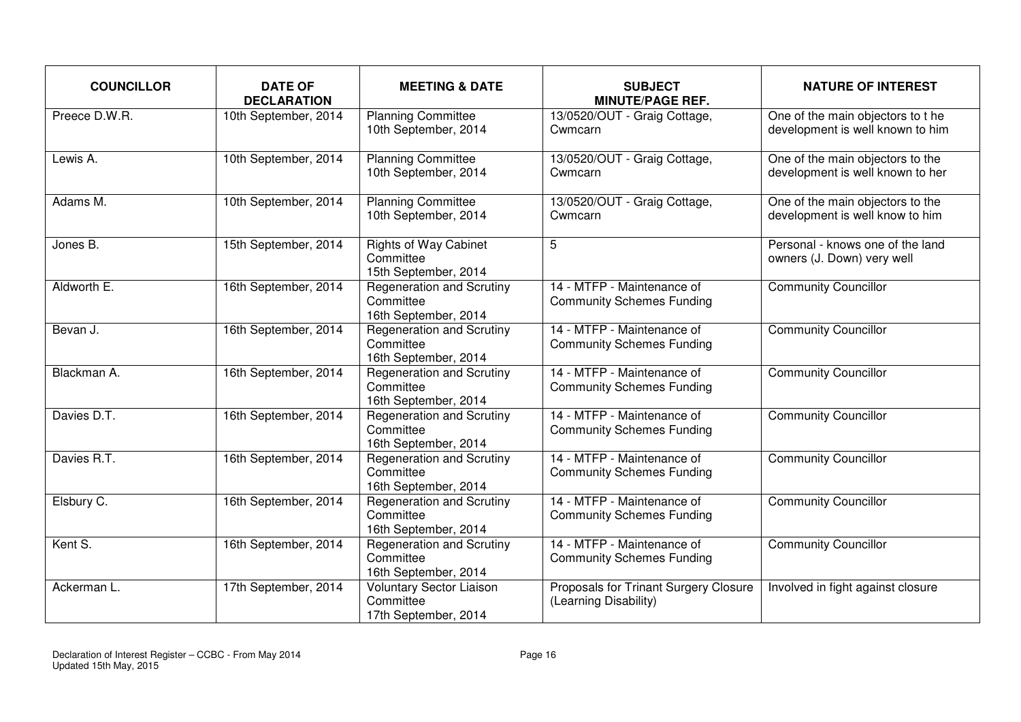| <b>COUNCILLOR</b> | <b>DATE OF</b><br><b>DECLARATION</b> | <b>MEETING &amp; DATE</b>                                             | <b>SUBJECT</b><br><b>MINUTE/PAGE REF.</b>                      | <b>NATURE OF INTEREST</b>                                            |
|-------------------|--------------------------------------|-----------------------------------------------------------------------|----------------------------------------------------------------|----------------------------------------------------------------------|
| Preece D.W.R.     | 10th September, 2014                 | <b>Planning Committee</b><br>10th September, 2014                     | 13/0520/OUT - Graig Cottage,<br>Cwmcarn                        | One of the main objectors to the<br>development is well known to him |
| Lewis A.          | 10th September, 2014                 | <b>Planning Committee</b><br>10th September, 2014                     | 13/0520/OUT - Graig Cottage,<br>Cwmcarn                        | One of the main objectors to the<br>development is well known to her |
| Adams M.          | 10th September, 2014                 | <b>Planning Committee</b><br>10th September, 2014                     | 13/0520/OUT - Graig Cottage,<br>Cwmcarn                        | One of the main objectors to the<br>development is well know to him  |
| Jones B.          | 15th September, 2014                 | <b>Rights of Way Cabinet</b><br>Committee<br>15th September, 2014     | 5                                                              | Personal - knows one of the land<br>owners (J. Down) very well       |
| Aldworth E.       | 16th September, 2014                 | <b>Regeneration and Scrutiny</b><br>Committee<br>16th September, 2014 | 14 - MTFP - Maintenance of<br><b>Community Schemes Funding</b> | <b>Community Councillor</b>                                          |
| Bevan J.          | 16th September, 2014                 | Regeneration and Scrutiny<br>Committee<br>16th September, 2014        | 14 - MTFP - Maintenance of<br><b>Community Schemes Funding</b> | <b>Community Councillor</b>                                          |
| Blackman A.       | 16th September, 2014                 | <b>Regeneration and Scrutiny</b><br>Committee<br>16th September, 2014 | 14 - MTFP - Maintenance of<br><b>Community Schemes Funding</b> | <b>Community Councillor</b>                                          |
| Davies D.T.       | 16th September, 2014                 | Regeneration and Scrutiny<br>Committee<br>16th September, 2014        | 14 - MTFP - Maintenance of<br><b>Community Schemes Funding</b> | <b>Community Councillor</b>                                          |
| Davies R.T.       | 16th September, 2014                 | <b>Regeneration and Scrutiny</b><br>Committee<br>16th September, 2014 | 14 - MTFP - Maintenance of<br><b>Community Schemes Funding</b> | <b>Community Councillor</b>                                          |
| Elsbury C.        | 16th September, 2014                 | <b>Regeneration and Scrutiny</b><br>Committee<br>16th September, 2014 | 14 - MTFP - Maintenance of<br><b>Community Schemes Funding</b> | <b>Community Councillor</b>                                          |
| Kent S.           | 16th September, 2014                 | Regeneration and Scrutiny<br>Committee<br>16th September, 2014        | 14 - MTFP - Maintenance of<br><b>Community Schemes Funding</b> | <b>Community Councillor</b>                                          |
| Ackerman L.       | 17th September, 2014                 | <b>Voluntary Sector Liaison</b><br>Committee<br>17th September, 2014  | Proposals for Trinant Surgery Closure<br>(Learning Disability) | Involved in fight against closure                                    |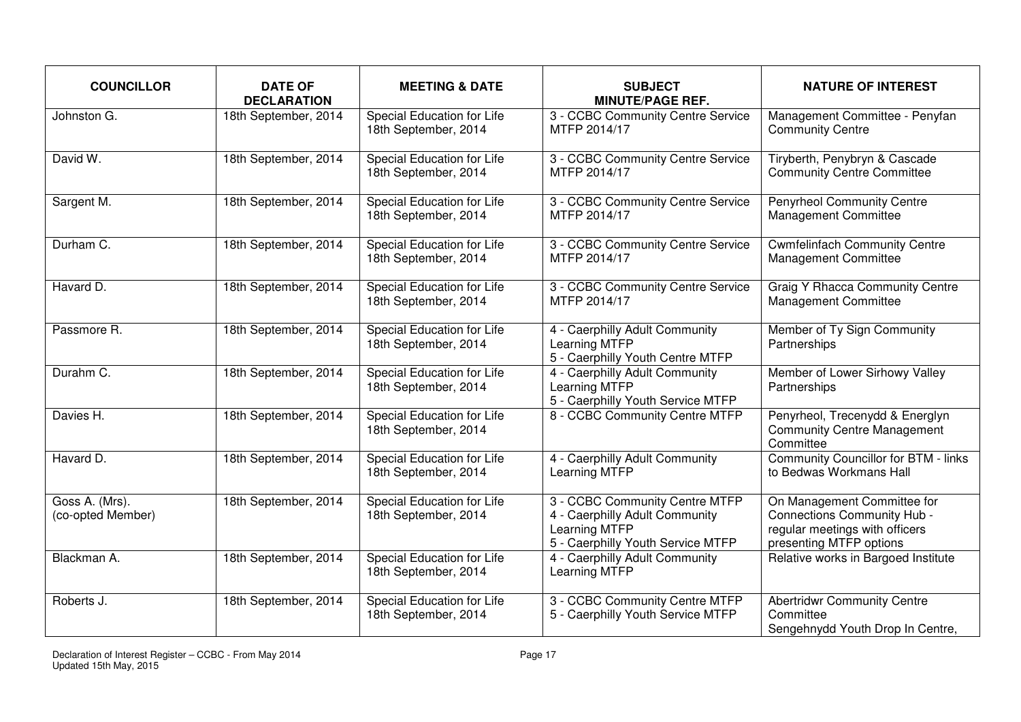| <b>COUNCILLOR</b>                   | <b>DATE OF</b><br><b>DECLARATION</b> | <b>MEETING &amp; DATE</b>                                 | <b>SUBJECT</b><br><b>MINUTE/PAGE REF.</b>                                                                              | <b>NATURE OF INTEREST</b>                                                                                               |
|-------------------------------------|--------------------------------------|-----------------------------------------------------------|------------------------------------------------------------------------------------------------------------------------|-------------------------------------------------------------------------------------------------------------------------|
| Johnston G.                         | 18th September, 2014                 | Special Education for Life<br>18th September, 2014        | 3 - CCBC Community Centre Service<br>MTFP 2014/17                                                                      | Management Committee - Penyfan<br><b>Community Centre</b>                                                               |
| David W.                            | 18th September, 2014                 | Special Education for Life<br>18th September, 2014        | 3 - CCBC Community Centre Service<br>MTFP 2014/17                                                                      | Tiryberth, Penybryn & Cascade<br><b>Community Centre Committee</b>                                                      |
| Sargent M.                          | 18th September, 2014                 | Special Education for Life<br>18th September, 2014        | 3 - CCBC Community Centre Service<br>MTFP 2014/17                                                                      | <b>Penyrheol Community Centre</b><br><b>Management Committee</b>                                                        |
| Durham C.                           | 18th September, 2014                 | Special Education for Life<br>18th September, 2014        | 3 - CCBC Community Centre Service<br>MTFP 2014/17                                                                      | <b>Cwmfelinfach Community Centre</b><br>Management Committee                                                            |
| Havard D.                           | 18th September, 2014                 | Special Education for Life<br>18th September, 2014        | 3 - CCBC Community Centre Service<br>MTFP 2014/17                                                                      | <b>Graig Y Rhacca Community Centre</b><br><b>Management Committee</b>                                                   |
| Passmore R.                         | 18th September, 2014                 | Special Education for Life<br>18th September, 2014        | 4 - Caerphilly Adult Community<br>Learning MTFP<br>5 - Caerphilly Youth Centre MTFP                                    | Member of Ty Sign Community<br>Partnerships                                                                             |
| Durahm C.                           | 18th September, 2014                 | Special Education for Life<br>18th September, 2014        | 4 - Caerphilly Adult Community<br>Learning MTFP<br>5 - Caerphilly Youth Service MTFP                                   | Member of Lower Sirhowy Valley<br>Partnerships                                                                          |
| Davies H.                           | 18th September, 2014                 | <b>Special Education for Life</b><br>18th September, 2014 | 8 - CCBC Community Centre MTFP                                                                                         | Penyrheol, Trecenydd & Energlyn<br><b>Community Centre Management</b><br>Committee                                      |
| Havard D.                           | 18th September, 2014                 | Special Education for Life<br>18th September, 2014        | 4 - Caerphilly Adult Community<br>Learning MTFP                                                                        | Community Councillor for BTM - links<br>to Bedwas Workmans Hall                                                         |
| Goss A. (Mrs).<br>(co-opted Member) | 18th September, 2014                 | Special Education for Life<br>18th September, 2014        | 3 - CCBC Community Centre MTFP<br>4 - Caerphilly Adult Community<br>Learning MTFP<br>5 - Caerphilly Youth Service MTFP | On Management Committee for<br>Connections Community Hub -<br>regular meetings with officers<br>presenting MTFP options |
| Blackman A.                         | 18th September, 2014                 | Special Education for Life<br>18th September, 2014        | 4 - Caerphilly Adult Community<br>Learning MTFP                                                                        | Relative works in Bargoed Institute                                                                                     |
| Roberts J.                          | 18th September, 2014                 | Special Education for Life<br>18th September, 2014        | 3 - CCBC Community Centre MTFP<br>5 - Caerphilly Youth Service MTFP                                                    | <b>Abertridwr Community Centre</b><br>Committee<br>Sengehnydd Youth Drop In Centre,                                     |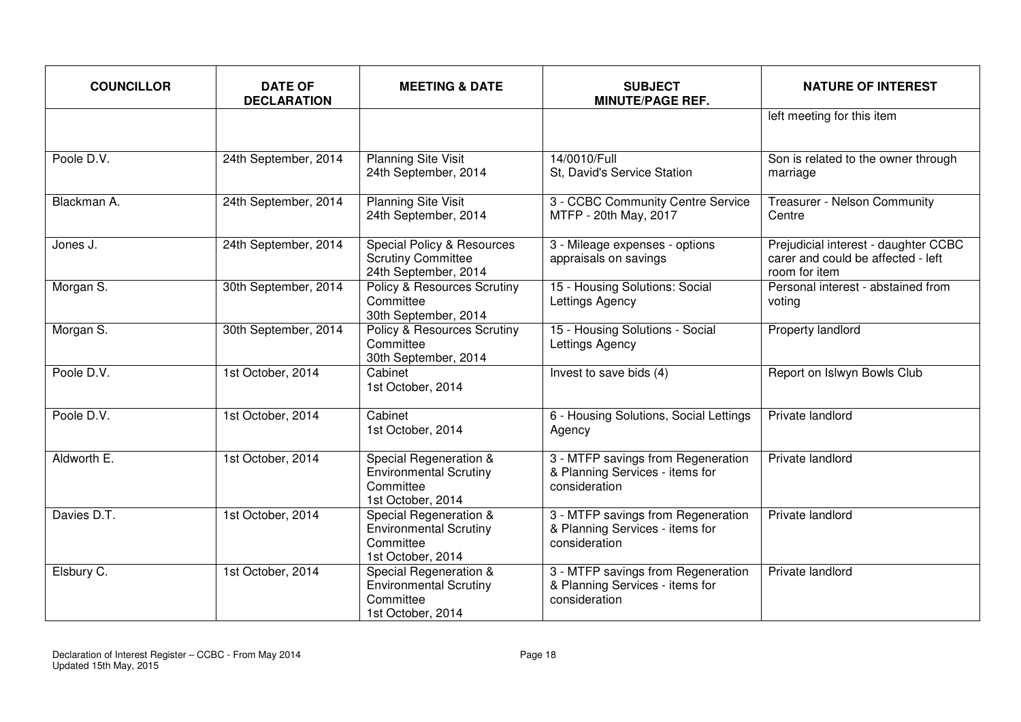| <b>COUNCILLOR</b> | <b>DATE OF</b><br><b>DECLARATION</b> | <b>MEETING &amp; DATE</b>                                                                  | <b>SUBJECT</b><br><b>MINUTE/PAGE REF.</b>                                              | <b>NATURE OF INTEREST</b>                                                                   |
|-------------------|--------------------------------------|--------------------------------------------------------------------------------------------|----------------------------------------------------------------------------------------|---------------------------------------------------------------------------------------------|
|                   |                                      |                                                                                            |                                                                                        | left meeting for this item                                                                  |
| Poole D.V.        | 24th September, 2014                 | <b>Planning Site Visit</b><br>24th September, 2014                                         | 14/0010/Full<br>St, David's Service Station                                            | Son is related to the owner through<br>marriage                                             |
| Blackman A.       | 24th September, 2014                 | <b>Planning Site Visit</b><br>24th September, 2014                                         | 3 - CCBC Community Centre Service<br>MTFP - 20th May, 2017                             | Treasurer - Nelson Community<br>Centre                                                      |
| Jones J.          | 24th September, 2014                 | <b>Special Policy &amp; Resources</b><br><b>Scrutiny Committee</b><br>24th September, 2014 | 3 - Mileage expenses - options<br>appraisals on savings                                | Prejudicial interest - daughter CCBC<br>carer and could be affected - left<br>room for item |
| Morgan S.         | 30th September, 2014                 | Policy & Resources Scrutiny<br>Committee<br>30th September, 2014                           | 15 - Housing Solutions: Social<br>Lettings Agency                                      | Personal interest - abstained from<br>voting                                                |
| Morgan S.         | 30th September, 2014                 | <b>Policy &amp; Resources Scrutiny</b><br>Committee<br>30th September, 2014                | 15 - Housing Solutions - Social<br>Lettings Agency                                     | <b>Property landlord</b>                                                                    |
| Poole D.V.        | 1st October, 2014                    | Cabinet<br>1st October, 2014                                                               | Invest to save bids (4)                                                                | Report on Islwyn Bowls Club                                                                 |
| Poole D.V.        | 1st October, 2014                    | Cabinet<br>1st October, 2014                                                               | 6 - Housing Solutions, Social Lettings<br>Agency                                       | Private landlord                                                                            |
| Aldworth E.       | 1st October, 2014                    | Special Regeneration &<br><b>Environmental Scrutiny</b><br>Committee<br>1st October, 2014  | 3 - MTFP savings from Regeneration<br>& Planning Services - items for<br>consideration | Private landlord                                                                            |
| Davies D.T.       | 1st October, 2014                    | Special Regeneration &<br><b>Environmental Scrutiny</b><br>Committee<br>1st October, 2014  | 3 - MTFP savings from Regeneration<br>& Planning Services - items for<br>consideration | Private landlord                                                                            |
| Elsbury C.        | 1st October, 2014                    | Special Regeneration &<br><b>Environmental Scrutiny</b><br>Committee<br>1st October, 2014  | 3 - MTFP savings from Regeneration<br>& Planning Services - items for<br>consideration | Private landlord                                                                            |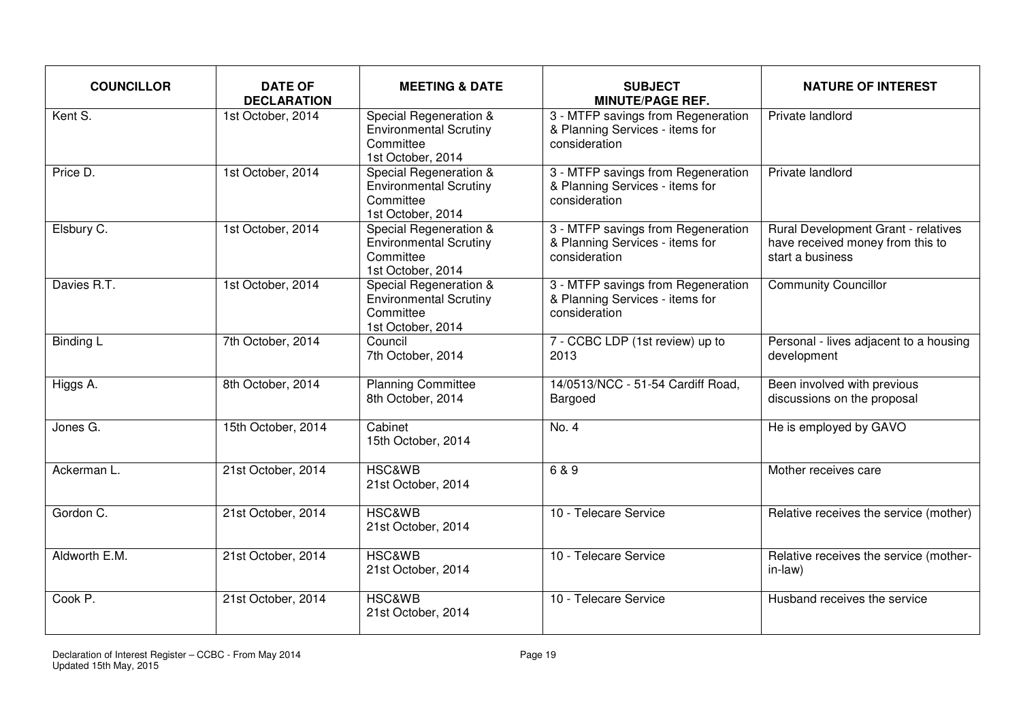| <b>COUNCILLOR</b>     | <b>DATE OF</b><br><b>DECLARATION</b> | <b>MEETING &amp; DATE</b>                                                                 | <b>SUBJECT</b><br><b>MINUTE/PAGE REF.</b>                                              | <b>NATURE OF INTEREST</b>                                                                   |
|-----------------------|--------------------------------------|-------------------------------------------------------------------------------------------|----------------------------------------------------------------------------------------|---------------------------------------------------------------------------------------------|
| Kent $\overline{S}$ . | 1st October, 2014                    | Special Regeneration &<br><b>Environmental Scrutiny</b><br>Committee<br>1st October, 2014 | 3 - MTFP savings from Regeneration<br>& Planning Services - items for<br>consideration | Private landlord                                                                            |
| Price D.              | 1st October, 2014                    | Special Regeneration &<br><b>Environmental Scrutiny</b><br>Committee<br>1st October, 2014 | 3 - MTFP savings from Regeneration<br>& Planning Services - items for<br>consideration | Private landlord                                                                            |
| Elsbury C.            | 1st October, 2014                    | Special Regeneration &<br><b>Environmental Scrutiny</b><br>Committee<br>1st October, 2014 | 3 - MTFP savings from Regeneration<br>& Planning Services - items for<br>consideration | Rural Development Grant - relatives<br>have received money from this to<br>start a business |
| Davies R.T.           | 1st October, 2014                    | Special Regeneration &<br><b>Environmental Scrutiny</b><br>Committee<br>1st October, 2014 | 3 - MTFP savings from Regeneration<br>& Planning Services - items for<br>consideration | <b>Community Councillor</b>                                                                 |
| <b>Binding L</b>      | 7th October, 2014                    | Council<br>7th October, 2014                                                              | 7 - CCBC LDP (1st review) up to<br>2013                                                | Personal - lives adjacent to a housing<br>development                                       |
| Higgs A.              | 8th October, 2014                    | <b>Planning Committee</b><br>8th October, 2014                                            | 14/0513/NCC - 51-54 Cardiff Road,<br>Bargoed                                           | Been involved with previous<br>discussions on the proposal                                  |
| Jones G.              | 15th October, 2014                   | Cabinet<br>15th October, 2014                                                             | No. 4                                                                                  | He is employed by GAVO                                                                      |
| Ackerman L.           | 21st October, 2014                   | <b>HSC&amp;WB</b><br>21st October, 2014                                                   | 6 & 9                                                                                  | Mother receives care                                                                        |
| Gordon C.             | 21st October, 2014                   | <b>HSC&amp;WB</b><br>21st October, 2014                                                   | 10 - Telecare Service                                                                  | Relative receives the service (mother)                                                      |
| Aldworth E.M.         | 21st October, 2014                   | <b>HSC&amp;WB</b><br>21st October, 2014                                                   | 10 - Telecare Service                                                                  | Relative receives the service (mother-<br>in-law)                                           |
| Cook P.               | 21st October, 2014                   | <b>HSC&amp;WB</b><br>21st October, 2014                                                   | 10 - Telecare Service                                                                  | Husband receives the service                                                                |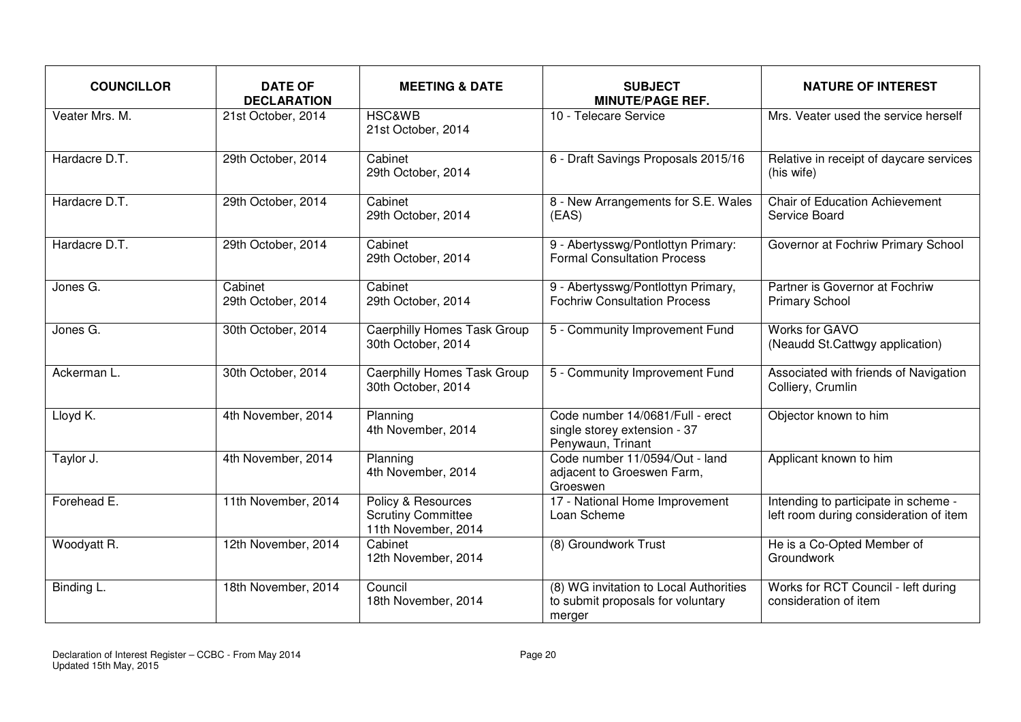| <b>COUNCILLOR</b> | <b>DATE OF</b><br><b>DECLARATION</b> | <b>MEETING &amp; DATE</b>                                              | <b>SUBJECT</b><br><b>MINUTE/PAGE REF.</b>                                             | <b>NATURE OF INTEREST</b>                                                      |
|-------------------|--------------------------------------|------------------------------------------------------------------------|---------------------------------------------------------------------------------------|--------------------------------------------------------------------------------|
| Veater Mrs. M.    | 21st October, 2014                   | <b>HSC&amp;WB</b><br>21st October, 2014                                | 10 - Telecare Service                                                                 | Mrs. Veater used the service herself                                           |
| Hardacre D.T.     | 29th October, 2014                   | Cabinet<br>29th October, 2014                                          | 6 - Draft Savings Proposals 2015/16                                                   | Relative in receipt of daycare services<br>(his wife)                          |
| Hardacre D.T.     | 29th October, 2014                   | Cabinet<br>29th October, 2014                                          | 8 - New Arrangements for S.E. Wales<br>(EAS)                                          | <b>Chair of Education Achievement</b><br>Service Board                         |
| Hardacre D.T.     | 29th October, 2014                   | Cabinet<br>29th October, 2014                                          | 9 - Abertysswg/Pontlottyn Primary:<br><b>Formal Consultation Process</b>              | Governor at Fochriw Primary School                                             |
| Jones G.          | Cabinet<br>29th October, 2014        | Cabinet<br>29th October, 2014                                          | 9 - Abertysswg/Pontlottyn Primary,<br><b>Fochriw Consultation Process</b>             | Partner is Governor at Fochriw<br><b>Primary School</b>                        |
| Jones G.          | 30th October, 2014                   | <b>Caerphilly Homes Task Group</b><br>30th October, 2014               | 5 - Community Improvement Fund                                                        | Works for GAVO<br>(Neaudd St.Cattwgy application)                              |
| Ackerman L.       | 30th October, 2014                   | Caerphilly Homes Task Group<br>30th October, 2014                      | 5 - Community Improvement Fund                                                        | Associated with friends of Navigation<br>Colliery, Crumlin                     |
| Lloyd K.          | 4th November, 2014                   | Planning<br>4th November, 2014                                         | Code number 14/0681/Full - erect<br>single storey extension - 37<br>Penywaun, Trinant | Objector known to him                                                          |
| Taylor J.         | 4th November, 2014                   | Planning<br>4th November, 2014                                         | Code number 11/0594/Out - land<br>adjacent to Groeswen Farm,<br>Groeswen              | Applicant known to him                                                         |
| Forehead E.       | 11th November, 2014                  | Policy & Resources<br><b>Scrutiny Committee</b><br>11th November, 2014 | 17 - National Home Improvement<br>Loan Scheme                                         | Intending to participate in scheme -<br>left room during consideration of item |
| Woodyatt R.       | 12th November, 2014                  | Cabinet<br>12th November, 2014                                         | (8) Groundwork Trust                                                                  | He is a Co-Opted Member of<br>Groundwork                                       |
| Binding L.        | 18th November, 2014                  | Council<br>18th November, 2014                                         | (8) WG invitation to Local Authorities<br>to submit proposals for voluntary<br>merger | Works for RCT Council - left during<br>consideration of item                   |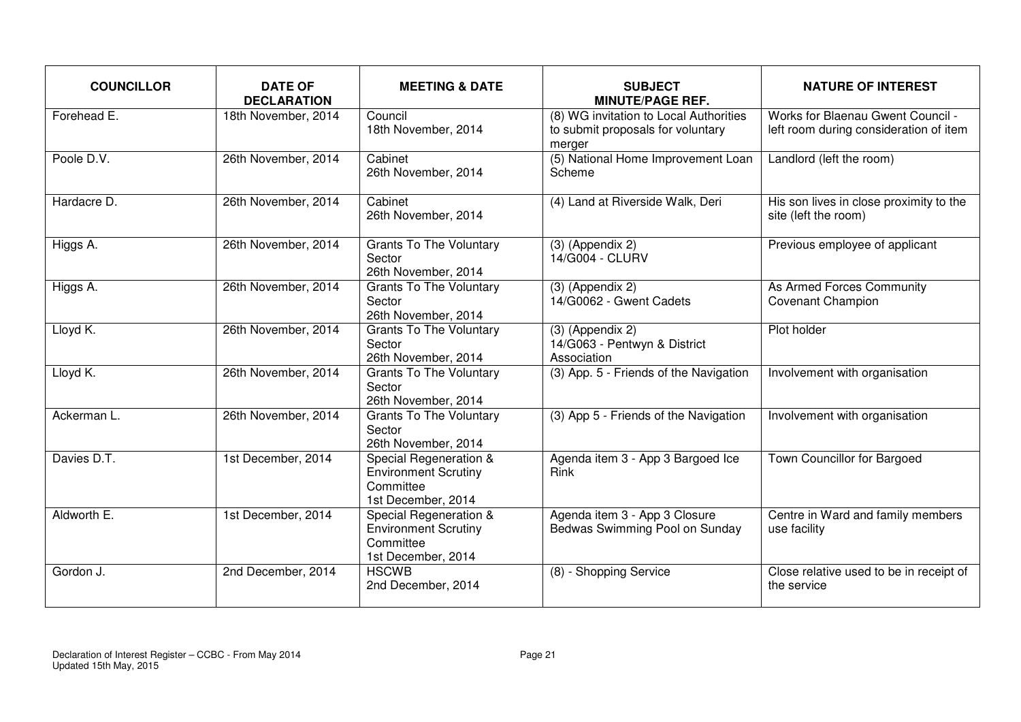| <b>COUNCILLOR</b> | <b>DATE OF</b><br><b>DECLARATION</b> | <b>MEETING &amp; DATE</b>                                                                | <b>SUBJECT</b><br><b>MINUTE/PAGE REF.</b>                                             | <b>NATURE OF INTEREST</b>                                                   |
|-------------------|--------------------------------------|------------------------------------------------------------------------------------------|---------------------------------------------------------------------------------------|-----------------------------------------------------------------------------|
| Forehead E.       | 18th November, 2014                  | Council<br>18th November, 2014                                                           | (8) WG invitation to Local Authorities<br>to submit proposals for voluntary<br>merger | Works for Blaenau Gwent Council -<br>left room during consideration of item |
| Poole D.V.        | 26th November, 2014                  | Cabinet<br>26th November, 2014                                                           | (5) National Home Improvement Loan<br>Scheme                                          | Landlord (left the room)                                                    |
| Hardacre D.       | 26th November, 2014                  | Cabinet<br>26th November, 2014                                                           | (4) Land at Riverside Walk, Deri                                                      | His son lives in close proximity to the<br>site (left the room)             |
| Higgs A.          | 26th November, 2014                  | <b>Grants To The Voluntary</b><br>Sector<br>26th November, 2014                          | $(3)$ (Appendix 2)<br>14/G004 - CLURV                                                 | Previous employee of applicant                                              |
| Higgs A.          | 26th November, 2014                  | <b>Grants To The Voluntary</b><br>Sector<br>26th November, 2014                          | $(3)$ (Appendix 2)<br>14/G0062 - Gwent Cadets                                         | As Armed Forces Community<br><b>Covenant Champion</b>                       |
| Lloyd K.          | 26th November, 2014                  | <b>Grants To The Voluntary</b><br>Sector<br>26th November, 2014                          | $(3)$ (Appendix 2)<br>14/G063 - Pentwyn & District<br>Association                     | Plot holder                                                                 |
| Lloyd K.          | 26th November, 2014                  | <b>Grants To The Voluntary</b><br>Sector<br>26th November, 2014                          | (3) App. 5 - Friends of the Navigation                                                | Involvement with organisation                                               |
| Ackerman L.       | 26th November, 2014                  | <b>Grants To The Voluntary</b><br>Sector<br>26th November, 2014                          | (3) App 5 - Friends of the Navigation                                                 | Involvement with organisation                                               |
| Davies D.T.       | 1st December, 2014                   | Special Regeneration &<br><b>Environment Scrutiny</b><br>Committee<br>1st December, 2014 | Agenda item 3 - App 3 Bargoed Ice<br>Rink                                             | <b>Town Councillor for Bargoed</b>                                          |
| Aldworth E.       | 1st December, 2014                   | Special Regeneration &<br><b>Environment Scrutiny</b><br>Committee<br>1st December, 2014 | Agenda item 3 - App 3 Closure<br>Bedwas Swimming Pool on Sunday                       | Centre in Ward and family members<br>use facility                           |
| Gordon J.         | 2nd December, 2014                   | <b>HSCWB</b><br>2nd December, 2014                                                       | (8) - Shopping Service                                                                | Close relative used to be in receipt of<br>the service                      |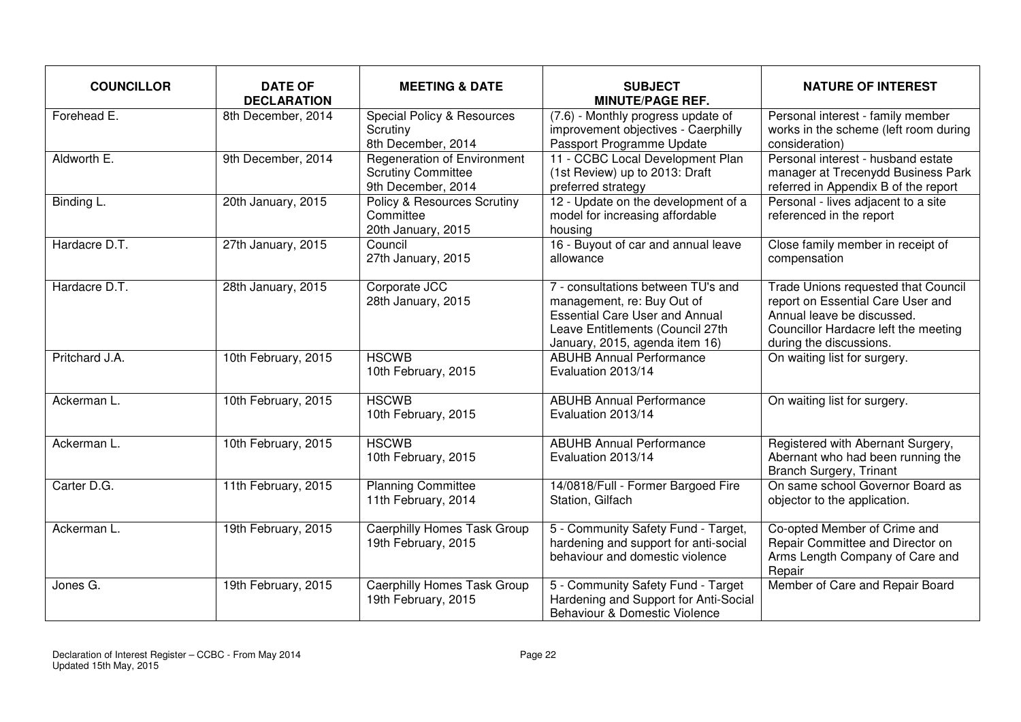| <b>COUNCILLOR</b> | <b>DATE OF</b><br><b>DECLARATION</b> | <b>MEETING &amp; DATE</b>                                                             | <b>SUBJECT</b><br><b>MINUTE/PAGE REF.</b>                                                                                                                                       | <b>NATURE OF INTEREST</b>                                                                                                                                                 |
|-------------------|--------------------------------------|---------------------------------------------------------------------------------------|---------------------------------------------------------------------------------------------------------------------------------------------------------------------------------|---------------------------------------------------------------------------------------------------------------------------------------------------------------------------|
| Forehead E.       | 8th December, 2014                   | Special Policy & Resources<br>Scrutiny<br>8th December, 2014                          | (7.6) - Monthly progress update of<br>improvement objectives - Caerphilly<br>Passport Programme Update                                                                          | Personal interest - family member<br>works in the scheme (left room during<br>consideration)                                                                              |
| Aldworth E.       | 9th December, 2014                   | <b>Regeneration of Environment</b><br><b>Scrutiny Committee</b><br>9th December, 2014 | 11 - CCBC Local Development Plan<br>(1st Review) up to 2013: Draft<br>preferred strategy                                                                                        | Personal interest - husband estate<br>manager at Trecenydd Business Park<br>referred in Appendix B of the report                                                          |
| Binding L.        | 20th January, 2015                   | Policy & Resources Scrutiny<br>Committee<br>20th January, 2015                        | 12 - Update on the development of a<br>model for increasing affordable<br>housing                                                                                               | Personal - lives adjacent to a site<br>referenced in the report                                                                                                           |
| Hardacre D.T.     | 27th January, 2015                   | Council<br>27th January, 2015                                                         | 16 - Buyout of car and annual leave<br>allowance                                                                                                                                | Close family member in receipt of<br>compensation                                                                                                                         |
| Hardacre D.T.     | 28th January, 2015                   | Corporate JCC<br>28th January, 2015                                                   | 7 - consultations between TU's and<br>management, re: Buy Out of<br><b>Essential Care User and Annual</b><br>Leave Entitlements (Council 27th<br>January, 2015, agenda item 16) | Trade Unions requested that Council<br>report on Essential Care User and<br>Annual leave be discussed.<br>Councillor Hardacre left the meeting<br>during the discussions. |
| Pritchard J.A.    | 10th February, 2015                  | <b>HSCWB</b><br>10th February, 2015                                                   | <b>ABUHB Annual Performance</b><br>Evaluation 2013/14                                                                                                                           | On waiting list for surgery.                                                                                                                                              |
| Ackerman L.       | 10th February, 2015                  | <b>HSCWB</b><br>10th February, 2015                                                   | <b>ABUHB Annual Performance</b><br>Evaluation 2013/14                                                                                                                           | On waiting list for surgery.                                                                                                                                              |
| Ackerman L.       | 10th February, 2015                  | <b>HSCWB</b><br>10th February, 2015                                                   | <b>ABUHB Annual Performance</b><br>Evaluation 2013/14                                                                                                                           | Registered with Abernant Surgery,<br>Abernant who had been running the<br><b>Branch Surgery, Trinant</b>                                                                  |
| Carter D.G.       | 11th February, 2015                  | <b>Planning Committee</b><br>11th February, 2014                                      | 14/0818/Full - Former Bargoed Fire<br>Station, Gilfach                                                                                                                          | On same school Governor Board as<br>objector to the application.                                                                                                          |
| Ackerman L.       | 19th February, 2015                  | <b>Caerphilly Homes Task Group</b><br>19th February, 2015                             | 5 - Community Safety Fund - Target,<br>hardening and support for anti-social<br>behaviour and domestic violence                                                                 | Co-opted Member of Crime and<br>Repair Committee and Director on<br>Arms Length Company of Care and<br>Repair                                                             |
| Jones G.          | 19th February, 2015                  | <b>Caerphilly Homes Task Group</b><br>19th February, 2015                             | 5 - Community Safety Fund - Target<br>Hardening and Support for Anti-Social<br>Behaviour & Domestic Violence                                                                    | Member of Care and Repair Board                                                                                                                                           |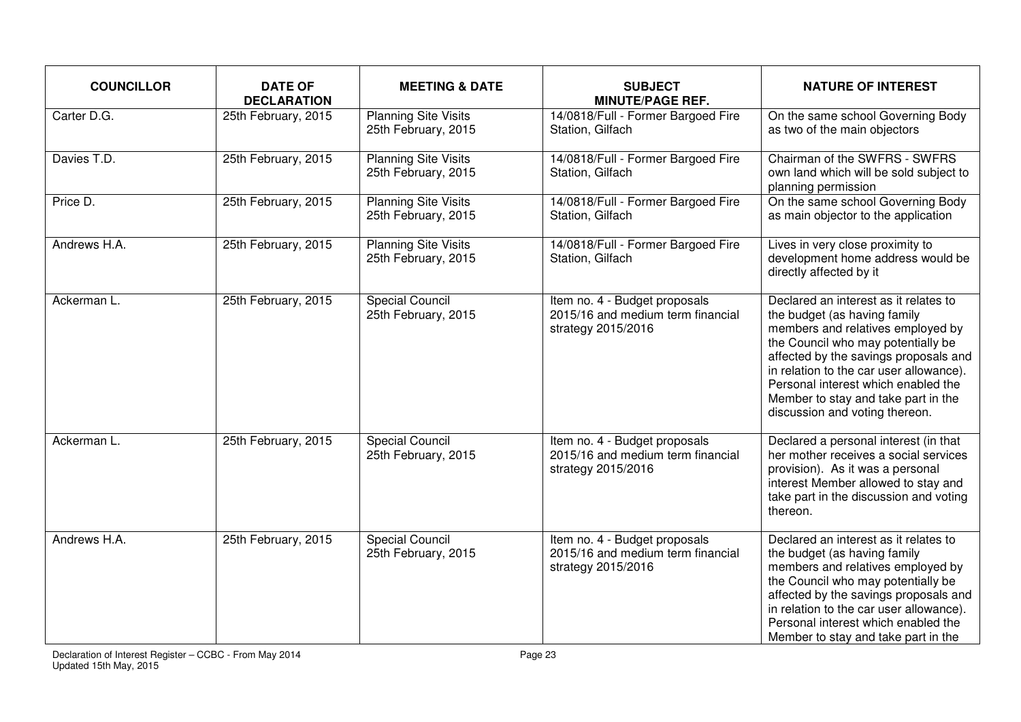| <b>COUNCILLOR</b> | <b>DATE OF</b><br><b>DECLARATION</b> | <b>MEETING &amp; DATE</b>                          | <b>SUBJECT</b><br><b>MINUTE/PAGE REF.</b>                                                | <b>NATURE OF INTEREST</b>                                                                                                                                                                                                                                                                                                                            |
|-------------------|--------------------------------------|----------------------------------------------------|------------------------------------------------------------------------------------------|------------------------------------------------------------------------------------------------------------------------------------------------------------------------------------------------------------------------------------------------------------------------------------------------------------------------------------------------------|
| Carter D.G.       | 25th February, 2015                  | <b>Planning Site Visits</b><br>25th February, 2015 | 14/0818/Full - Former Bargoed Fire<br>Station, Gilfach                                   | On the same school Governing Body<br>as two of the main objectors                                                                                                                                                                                                                                                                                    |
| Davies T.D.       | 25th February, 2015                  | <b>Planning Site Visits</b><br>25th February, 2015 | 14/0818/Full - Former Bargoed Fire<br>Station, Gilfach                                   | Chairman of the SWFRS - SWFRS<br>own land which will be sold subject to<br>planning permission                                                                                                                                                                                                                                                       |
| Price D.          | 25th February, 2015                  | <b>Planning Site Visits</b><br>25th February, 2015 | 14/0818/Full - Former Bargoed Fire<br>Station, Gilfach                                   | On the same school Governing Body<br>as main objector to the application                                                                                                                                                                                                                                                                             |
| Andrews H.A.      | 25th February, 2015                  | <b>Planning Site Visits</b><br>25th February, 2015 | 14/0818/Full - Former Bargoed Fire<br>Station, Gilfach                                   | Lives in very close proximity to<br>development home address would be<br>directly affected by it                                                                                                                                                                                                                                                     |
| Ackerman L.       | 25th February, 2015                  | <b>Special Council</b><br>25th February, 2015      | Item no. 4 - Budget proposals<br>2015/16 and medium term financial<br>strategy 2015/2016 | Declared an interest as it relates to<br>the budget (as having family<br>members and relatives employed by<br>the Council who may potentially be<br>affected by the savings proposals and<br>in relation to the car user allowance).<br>Personal interest which enabled the<br>Member to stay and take part in the<br>discussion and voting thereon. |
| Ackerman L.       | 25th February, 2015                  | <b>Special Council</b><br>25th February, 2015      | Item no. 4 - Budget proposals<br>2015/16 and medium term financial<br>strategy 2015/2016 | Declared a personal interest (in that<br>her mother receives a social services<br>provision). As it was a personal<br>interest Member allowed to stay and<br>take part in the discussion and voting<br>thereon.                                                                                                                                      |
| Andrews H.A.      | 25th February, 2015                  | <b>Special Council</b><br>25th February, 2015      | Item no. 4 - Budget proposals<br>2015/16 and medium term financial<br>strategy 2015/2016 | Declared an interest as it relates to<br>the budget (as having family<br>members and relatives employed by<br>the Council who may potentially be<br>affected by the savings proposals and<br>in relation to the car user allowance).<br>Personal interest which enabled the<br>Member to stay and take part in the                                   |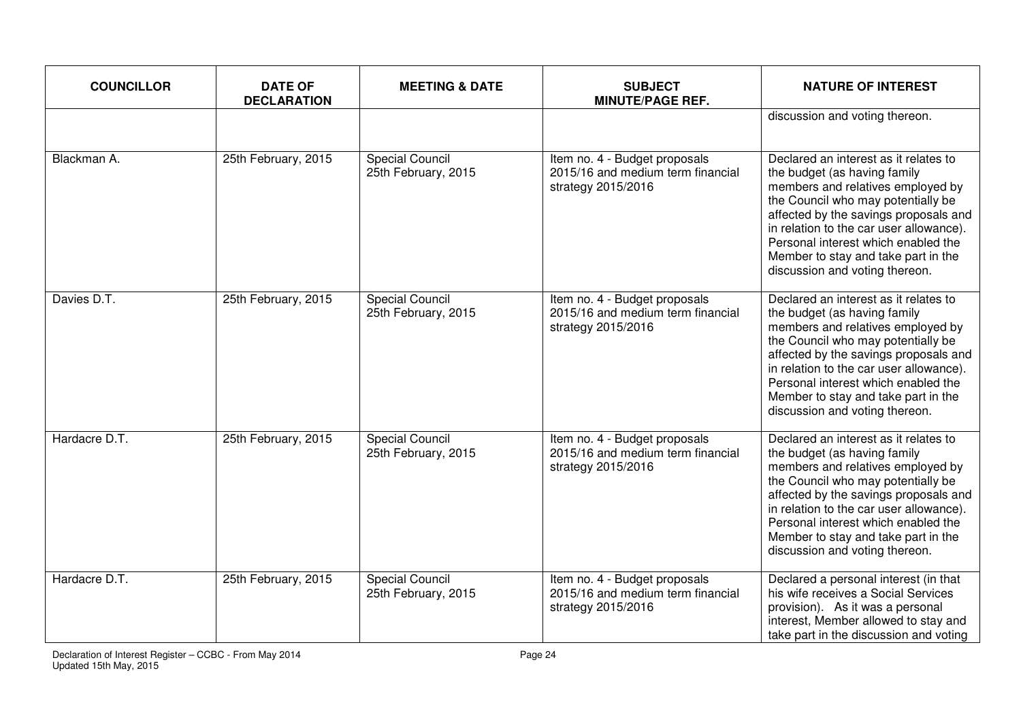| <b>COUNCILLOR</b> | <b>DATE OF</b><br><b>DECLARATION</b> | <b>MEETING &amp; DATE</b>                     | <b>SUBJECT</b><br><b>MINUTE/PAGE REF.</b>                                                | <b>NATURE OF INTEREST</b>                                                                                                                                                                                                                                                                                                                            |
|-------------------|--------------------------------------|-----------------------------------------------|------------------------------------------------------------------------------------------|------------------------------------------------------------------------------------------------------------------------------------------------------------------------------------------------------------------------------------------------------------------------------------------------------------------------------------------------------|
|                   |                                      |                                               |                                                                                          | discussion and voting thereon.                                                                                                                                                                                                                                                                                                                       |
| Blackman A.       | 25th February, 2015                  | <b>Special Council</b><br>25th February, 2015 | Item no. 4 - Budget proposals<br>2015/16 and medium term financial<br>strategy 2015/2016 | Declared an interest as it relates to<br>the budget (as having family<br>members and relatives employed by<br>the Council who may potentially be<br>affected by the savings proposals and<br>in relation to the car user allowance).<br>Personal interest which enabled the<br>Member to stay and take part in the<br>discussion and voting thereon. |
| Davies D.T.       | 25th February, 2015                  | <b>Special Council</b><br>25th February, 2015 | Item no. 4 - Budget proposals<br>2015/16 and medium term financial<br>strategy 2015/2016 | Declared an interest as it relates to<br>the budget (as having family<br>members and relatives employed by<br>the Council who may potentially be<br>affected by the savings proposals and<br>in relation to the car user allowance).<br>Personal interest which enabled the<br>Member to stay and take part in the<br>discussion and voting thereon. |
| Hardacre D.T.     | 25th February, 2015                  | <b>Special Council</b><br>25th February, 2015 | Item no. 4 - Budget proposals<br>2015/16 and medium term financial<br>strategy 2015/2016 | Declared an interest as it relates to<br>the budget (as having family<br>members and relatives employed by<br>the Council who may potentially be<br>affected by the savings proposals and<br>in relation to the car user allowance).<br>Personal interest which enabled the<br>Member to stay and take part in the<br>discussion and voting thereon. |
| Hardacre D.T.     | 25th February, 2015                  | <b>Special Council</b><br>25th February, 2015 | Item no. 4 - Budget proposals<br>2015/16 and medium term financial<br>strategy 2015/2016 | Declared a personal interest (in that<br>his wife receives a Social Services<br>provision). As it was a personal<br>interest, Member allowed to stay and<br>take part in the discussion and voting                                                                                                                                                   |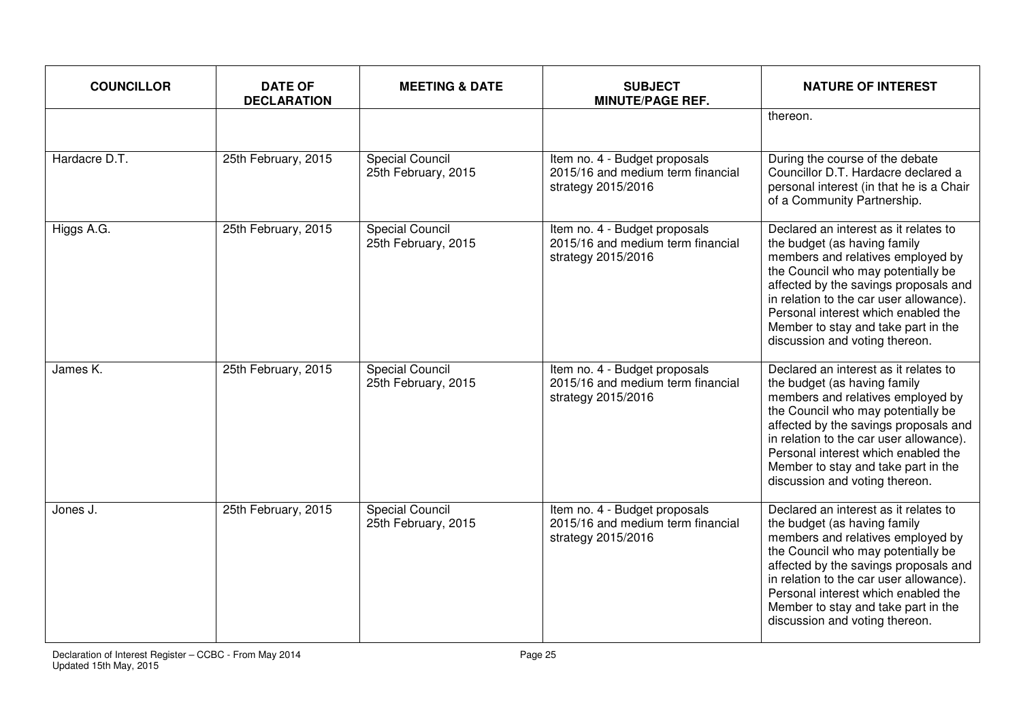| <b>COUNCILLOR</b> | <b>DATE OF</b><br><b>DECLARATION</b> | <b>MEETING &amp; DATE</b>                     | <b>SUBJECT</b><br><b>MINUTE/PAGE REF.</b>                                                | <b>NATURE OF INTEREST</b>                                                                                                                                                                                                                                                                                                                            |
|-------------------|--------------------------------------|-----------------------------------------------|------------------------------------------------------------------------------------------|------------------------------------------------------------------------------------------------------------------------------------------------------------------------------------------------------------------------------------------------------------------------------------------------------------------------------------------------------|
|                   |                                      |                                               |                                                                                          | thereon.                                                                                                                                                                                                                                                                                                                                             |
| Hardacre D.T.     | 25th February, 2015                  | <b>Special Council</b><br>25th February, 2015 | Item no. 4 - Budget proposals<br>2015/16 and medium term financial<br>strategy 2015/2016 | During the course of the debate<br>Councillor D.T. Hardacre declared a<br>personal interest (in that he is a Chair<br>of a Community Partnership.                                                                                                                                                                                                    |
| Higgs A.G.        | 25th February, 2015                  | <b>Special Council</b><br>25th February, 2015 | Item no. 4 - Budget proposals<br>2015/16 and medium term financial<br>strategy 2015/2016 | Declared an interest as it relates to<br>the budget (as having family<br>members and relatives employed by<br>the Council who may potentially be<br>affected by the savings proposals and<br>in relation to the car user allowance).<br>Personal interest which enabled the<br>Member to stay and take part in the<br>discussion and voting thereon. |
| James K.          | 25th February, 2015                  | <b>Special Council</b><br>25th February, 2015 | Item no. 4 - Budget proposals<br>2015/16 and medium term financial<br>strategy 2015/2016 | Declared an interest as it relates to<br>the budget (as having family<br>members and relatives employed by<br>the Council who may potentially be<br>affected by the savings proposals and<br>in relation to the car user allowance).<br>Personal interest which enabled the<br>Member to stay and take part in the<br>discussion and voting thereon. |
| Jones J.          | 25th February, 2015                  | <b>Special Council</b><br>25th February, 2015 | Item no. 4 - Budget proposals<br>2015/16 and medium term financial<br>strategy 2015/2016 | Declared an interest as it relates to<br>the budget (as having family<br>members and relatives employed by<br>the Council who may potentially be<br>affected by the savings proposals and<br>in relation to the car user allowance).<br>Personal interest which enabled the<br>Member to stay and take part in the<br>discussion and voting thereon. |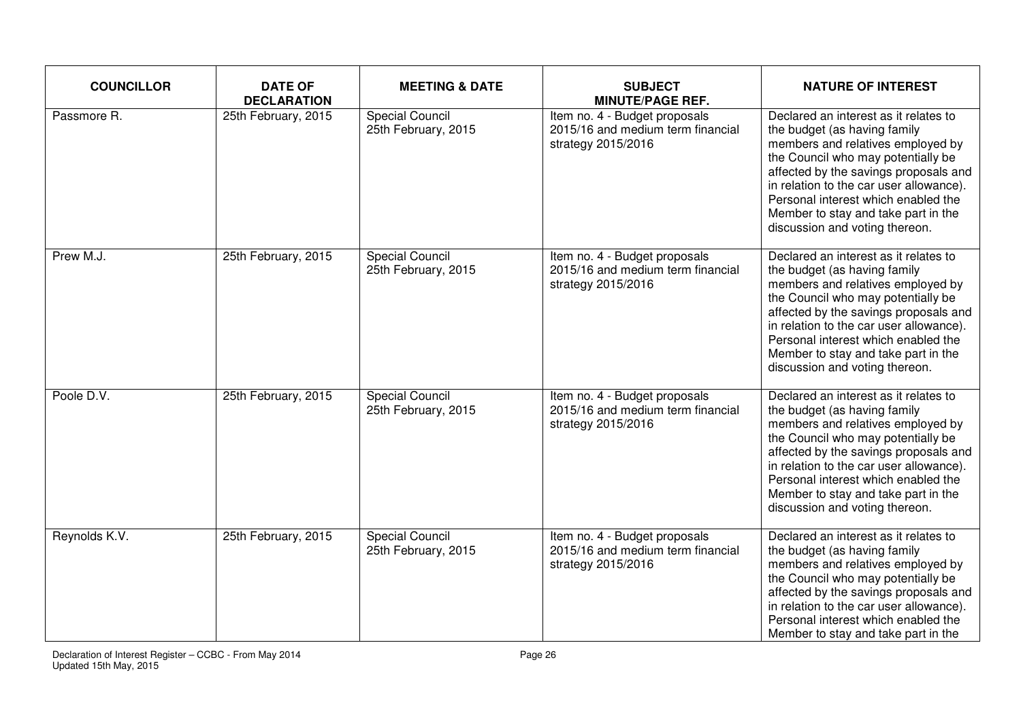| <b>COUNCILLOR</b> | <b>DATE OF</b><br><b>DECLARATION</b> | <b>MEETING &amp; DATE</b>                     | <b>SUBJECT</b><br><b>MINUTE/PAGE REF.</b>                                                | <b>NATURE OF INTEREST</b>                                                                                                                                                                                                                                                                                                                            |
|-------------------|--------------------------------------|-----------------------------------------------|------------------------------------------------------------------------------------------|------------------------------------------------------------------------------------------------------------------------------------------------------------------------------------------------------------------------------------------------------------------------------------------------------------------------------------------------------|
| Passmore R.       | 25th February, 2015                  | <b>Special Council</b><br>25th February, 2015 | Item no. 4 - Budget proposals<br>2015/16 and medium term financial<br>strategy 2015/2016 | Declared an interest as it relates to<br>the budget (as having family<br>members and relatives employed by<br>the Council who may potentially be<br>affected by the savings proposals and<br>in relation to the car user allowance).<br>Personal interest which enabled the<br>Member to stay and take part in the<br>discussion and voting thereon. |
| Prew M.J.         | 25th February, 2015                  | <b>Special Council</b><br>25th February, 2015 | Item no. 4 - Budget proposals<br>2015/16 and medium term financial<br>strategy 2015/2016 | Declared an interest as it relates to<br>the budget (as having family<br>members and relatives employed by<br>the Council who may potentially be<br>affected by the savings proposals and<br>in relation to the car user allowance).<br>Personal interest which enabled the<br>Member to stay and take part in the<br>discussion and voting thereon. |
| Poole D.V.        | 25th February, 2015                  | <b>Special Council</b><br>25th February, 2015 | Item no. 4 - Budget proposals<br>2015/16 and medium term financial<br>strategy 2015/2016 | Declared an interest as it relates to<br>the budget (as having family<br>members and relatives employed by<br>the Council who may potentially be<br>affected by the savings proposals and<br>in relation to the car user allowance).<br>Personal interest which enabled the<br>Member to stay and take part in the<br>discussion and voting thereon. |
| Reynolds K.V.     | 25th February, 2015                  | <b>Special Council</b><br>25th February, 2015 | Item no. 4 - Budget proposals<br>2015/16 and medium term financial<br>strategy 2015/2016 | Declared an interest as it relates to<br>the budget (as having family<br>members and relatives employed by<br>the Council who may potentially be<br>affected by the savings proposals and<br>in relation to the car user allowance).<br>Personal interest which enabled the<br>Member to stay and take part in the                                   |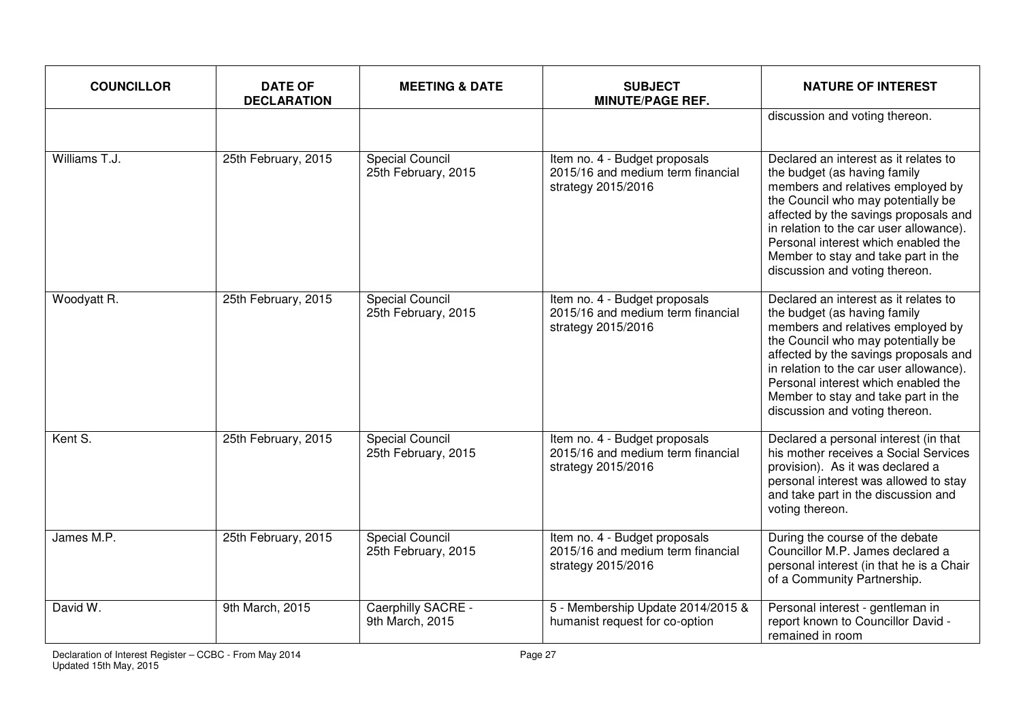| <b>COUNCILLOR</b> | <b>DATE OF</b><br><b>DECLARATION</b> | <b>MEETING &amp; DATE</b>                     | <b>SUBJECT</b><br><b>MINUTE/PAGE REF.</b>                                                | <b>NATURE OF INTEREST</b>                                                                                                                                                                                                                                                                                                                            |
|-------------------|--------------------------------------|-----------------------------------------------|------------------------------------------------------------------------------------------|------------------------------------------------------------------------------------------------------------------------------------------------------------------------------------------------------------------------------------------------------------------------------------------------------------------------------------------------------|
|                   |                                      |                                               |                                                                                          | discussion and voting thereon.                                                                                                                                                                                                                                                                                                                       |
| Williams T.J.     | 25th February, 2015                  | <b>Special Council</b><br>25th February, 2015 | Item no. 4 - Budget proposals<br>2015/16 and medium term financial<br>strategy 2015/2016 | Declared an interest as it relates to<br>the budget (as having family<br>members and relatives employed by<br>the Council who may potentially be<br>affected by the savings proposals and<br>in relation to the car user allowance).<br>Personal interest which enabled the<br>Member to stay and take part in the<br>discussion and voting thereon. |
| Woodyatt R.       | 25th February, 2015                  | <b>Special Council</b><br>25th February, 2015 | Item no. 4 - Budget proposals<br>2015/16 and medium term financial<br>strategy 2015/2016 | Declared an interest as it relates to<br>the budget (as having family<br>members and relatives employed by<br>the Council who may potentially be<br>affected by the savings proposals and<br>in relation to the car user allowance).<br>Personal interest which enabled the<br>Member to stay and take part in the<br>discussion and voting thereon. |
| Kent S.           | 25th February, 2015                  | <b>Special Council</b><br>25th February, 2015 | Item no. 4 - Budget proposals<br>2015/16 and medium term financial<br>strategy 2015/2016 | Declared a personal interest (in that<br>his mother receives a Social Services<br>provision). As it was declared a<br>personal interest was allowed to stay<br>and take part in the discussion and<br>voting thereon.                                                                                                                                |
| James M.P.        | 25th February, 2015                  | <b>Special Council</b><br>25th February, 2015 | Item no. 4 - Budget proposals<br>2015/16 and medium term financial<br>strategy 2015/2016 | During the course of the debate<br>Councillor M.P. James declared a<br>personal interest (in that he is a Chair<br>of a Community Partnership.                                                                                                                                                                                                       |
| David W.          | 9th March, 2015                      | Caerphilly SACRE -<br>9th March, 2015         | 5 - Membership Update 2014/2015 &<br>humanist request for co-option                      | Personal interest - gentleman in<br>report known to Councillor David -<br>remained in room                                                                                                                                                                                                                                                           |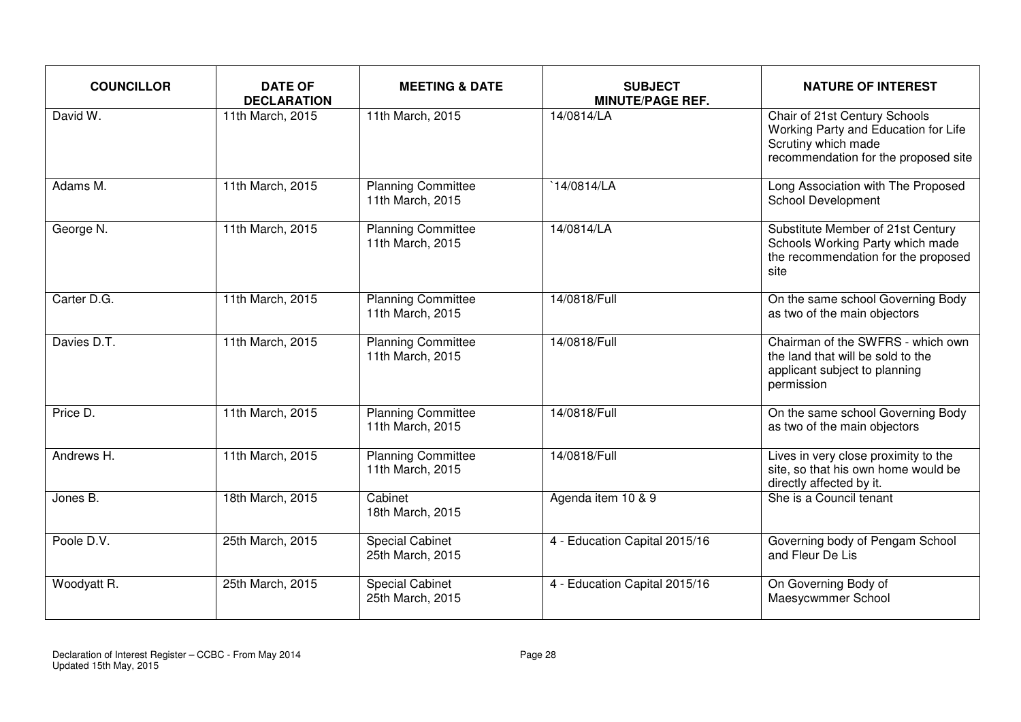| <b>COUNCILLOR</b> | <b>DATE OF</b><br><b>DECLARATION</b> | <b>MEETING &amp; DATE</b>                     | <b>SUBJECT</b><br><b>MINUTE/PAGE REF.</b> | <b>NATURE OF INTEREST</b>                                                                                                            |
|-------------------|--------------------------------------|-----------------------------------------------|-------------------------------------------|--------------------------------------------------------------------------------------------------------------------------------------|
| David W.          | 11th March, 2015                     | 11th March, 2015                              | 14/0814/LA                                | Chair of 21st Century Schools<br>Working Party and Education for Life<br>Scrutiny which made<br>recommendation for the proposed site |
| Adams M.          | 11th March, 2015                     | <b>Planning Committee</b><br>11th March, 2015 | 14/0814/LA                                | Long Association with The Proposed<br><b>School Development</b>                                                                      |
| George N.         | 11th March, 2015                     | <b>Planning Committee</b><br>11th March, 2015 | 14/0814/LA                                | Substitute Member of 21st Century<br>Schools Working Party which made<br>the recommendation for the proposed<br>site                 |
| Carter D.G.       | 11th March, 2015                     | <b>Planning Committee</b><br>11th March, 2015 | 14/0818/Full                              | On the same school Governing Body<br>as two of the main objectors                                                                    |
| Davies D.T.       | 11th March, 2015                     | <b>Planning Committee</b><br>11th March, 2015 | 14/0818/Full                              | Chairman of the SWFRS - which own<br>the land that will be sold to the<br>applicant subject to planning<br>permission                |
| Price D.          | 11th March, 2015                     | <b>Planning Committee</b><br>11th March, 2015 | 14/0818/Full                              | On the same school Governing Body<br>as two of the main objectors                                                                    |
| Andrews H.        | 11th March, 2015                     | <b>Planning Committee</b><br>11th March, 2015 | 14/0818/Full                              | Lives in very close proximity to the<br>site, so that his own home would be<br>directly affected by it.                              |
| Jones B.          | 18th March, 2015                     | Cabinet<br>18th March, 2015                   | Agenda item 10 & 9                        | She is a Council tenant                                                                                                              |
| Poole D.V.        | 25th March, 2015                     | <b>Special Cabinet</b><br>25th March, 2015    | 4 - Education Capital 2015/16             | Governing body of Pengam School<br>and Fleur De Lis                                                                                  |
| Woodyatt R.       | 25th March, 2015                     | <b>Special Cabinet</b><br>25th March, 2015    | 4 - Education Capital 2015/16             | On Governing Body of<br>Maesycwmmer School                                                                                           |